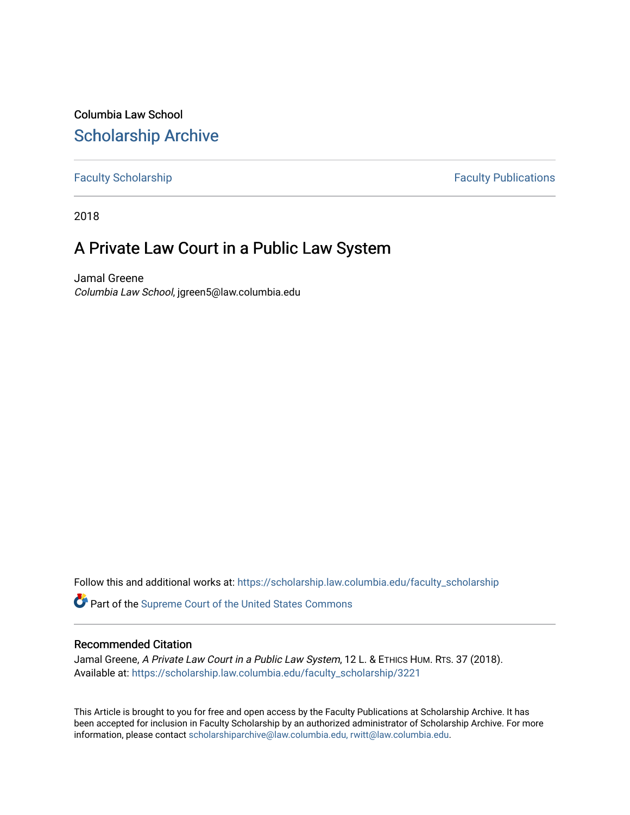Columbia Law School [Scholarship Archive](https://scholarship.law.columbia.edu/) 

[Faculty Scholarship](https://scholarship.law.columbia.edu/faculty_scholarship) **Faculty Scholarship Faculty Publications** 

2018

# A Private Law Court in a Public Law System

Jamal Greene Columbia Law School, jgreen5@law.columbia.edu

Follow this and additional works at: [https://scholarship.law.columbia.edu/faculty\\_scholarship](https://scholarship.law.columbia.edu/faculty_scholarship?utm_source=scholarship.law.columbia.edu%2Ffaculty_scholarship%2F3221&utm_medium=PDF&utm_campaign=PDFCoverPages)

Part of the [Supreme Court of the United States Commons](http://network.bepress.com/hgg/discipline/1350?utm_source=scholarship.law.columbia.edu%2Ffaculty_scholarship%2F3221&utm_medium=PDF&utm_campaign=PDFCoverPages) 

#### Recommended Citation

Jamal Greene, A Private Law Court in a Public Law System, 12 L. & ETHICS HUM. RTS. 37 (2018). Available at: [https://scholarship.law.columbia.edu/faculty\\_scholarship/3221](https://scholarship.law.columbia.edu/faculty_scholarship/3221?utm_source=scholarship.law.columbia.edu%2Ffaculty_scholarship%2F3221&utm_medium=PDF&utm_campaign=PDFCoverPages)

This Article is brought to you for free and open access by the Faculty Publications at Scholarship Archive. It has been accepted for inclusion in Faculty Scholarship by an authorized administrator of Scholarship Archive. For more information, please contact [scholarshiparchive@law.columbia.edu, rwitt@law.columbia.edu](mailto:scholarshiparchive@law.columbia.edu,%20rwitt@law.columbia.edu).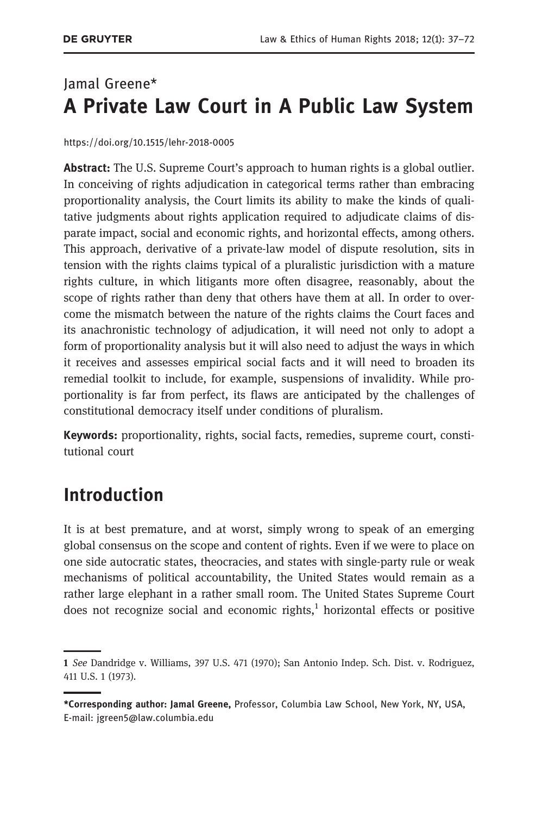# Jamal Greene\* A Private Law Court in A Public Law System

https://doi.org/10.1515/lehr-2018-0005

Abstract: The U.S. Supreme Court's approach to human rights is a global outlier. In conceiving of rights adjudication in categorical terms rather than embracing proportionality analysis, the Court limits its ability to make the kinds of qualitative judgments about rights application required to adjudicate claims of disparate impact, social and economic rights, and horizontal effects, among others. This approach, derivative of a private-law model of dispute resolution, sits in tension with the rights claims typical of a pluralistic jurisdiction with a mature rights culture, in which litigants more often disagree, reasonably, about the scope of rights rather than deny that others have them at all. In order to overcome the mismatch between the nature of the rights claims the Court faces and its anachronistic technology of adjudication, it will need not only to adopt a form of proportionality analysis but it will also need to adjust the ways in which it receives and assesses empirical social facts and it will need to broaden its remedial toolkit to include, for example, suspensions of invalidity. While proportionality is far from perfect, its flaws are anticipated by the challenges of constitutional democracy itself under conditions of pluralism.

Keywords: proportionality, rights, social facts, remedies, supreme court, constitutional court

# Introduction

It is at best premature, and at worst, simply wrong to speak of an emerging global consensus on the scope and content of rights. Even if we were to place on one side autocratic states, theocracies, and states with single-party rule or weak mechanisms of political accountability, the United States would remain as a rather large elephant in a rather small room. The United States Supreme Court does not recognize social and economic rights, $<sup>1</sup>$  horizontal effects or positive</sup>

<sup>1</sup> See Dandridge v. Williams, 397 U.S. 471 (1970); San Antonio Indep. Sch. Dist. v. Rodriguez, 411 U.S. 1 (1973).

<sup>\*</sup>Corresponding author: Jamal Greene, Professor, Columbia Law School, New York, NY, USA, E-mail: jgreen5@law.columbia.edu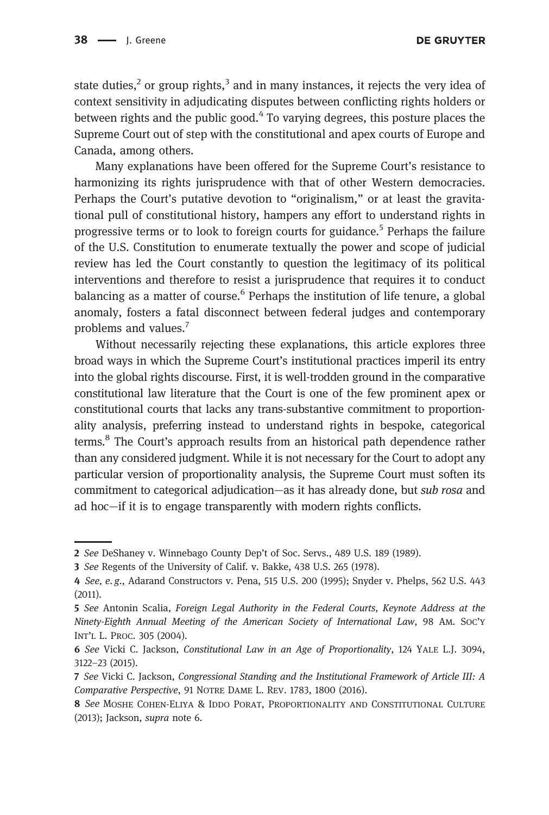state duties,<sup>2</sup> or group rights,<sup>3</sup> and in many instances, it rejects the very idea of context sensitivity in adjudicating disputes between conflicting rights holders or between rights and the public good. $4$  To varying degrees, this posture places the Supreme Court out of step with the constitutional and apex courts of Europe and Canada, among others.

Many explanations have been offered for the Supreme Court's resistance to harmonizing its rights jurisprudence with that of other Western democracies. Perhaps the Court's putative devotion to "originalism," or at least the gravitational pull of constitutional history, hampers any effort to understand rights in progressive terms or to look to foreign courts for guidance.<sup>5</sup> Perhaps the failure of the U.S. Constitution to enumerate textually the power and scope of judicial review has led the Court constantly to question the legitimacy of its political interventions and therefore to resist a jurisprudence that requires it to conduct balancing as a matter of course.<sup>6</sup> Perhaps the institution of life tenure, a global anomaly, fosters a fatal disconnect between federal judges and contemporary problems and values.<sup>7</sup>

Without necessarily rejecting these explanations, this article explores three broad ways in which the Supreme Court's institutional practices imperil its entry into the global rights discourse. First, it is well-trodden ground in the comparative constitutional law literature that the Court is one of the few prominent apex or constitutional courts that lacks any trans-substantive commitment to proportionality analysis, preferring instead to understand rights in bespoke, categorical terms.<sup>8</sup> The Court's approach results from an historical path dependence rather than any considered judgment. While it is not necessary for the Court to adopt any particular version of proportionality analysis, the Supreme Court must soften its commitment to categorical adjudication—as it has already done, but sub rosa and ad hoc—if it is to engage transparently with modern rights conflicts.

<sup>2</sup> See DeShaney v. Winnebago County Dep't of Soc. Servs., 489 U.S. 189 (1989).

<sup>3</sup> See Regents of the University of Calif. v. Bakke, 438 U.S. 265 (1978).

<sup>4</sup> See, e. g., Adarand Constructors v. Pena, 515 U.S. 200 (1995); Snyder v. Phelps, 562 U.S. 443 (2011).

<sup>5</sup> See Antonin Scalia, Foreign Legal Authority in the Federal Courts, Keynote Address at the Ninety-Eighth Annual Meeting of the American Society of International Law, 98 AM. SOC'Y INT'L L. PROC. 305 (2004).

<sup>6</sup> See Vicki C. Jackson, Constitutional Law in an Age of Proportionality, 124 YALE L.J. 3094, 3122–23 (2015).

<sup>7</sup> See Vicki C. Jackson, Congressional Standing and the Institutional Framework of Article III: A Comparative Perspective, 91 NOTRE DAME L. REV. 1783, 1800 (2016).

<sup>8</sup> See MOSHE COHEN-ELIYA & IDDO PORAT, PROPORTIONALITY AND CONSTITUTIONAL CULTURE (2013); Jackson, supra note 6.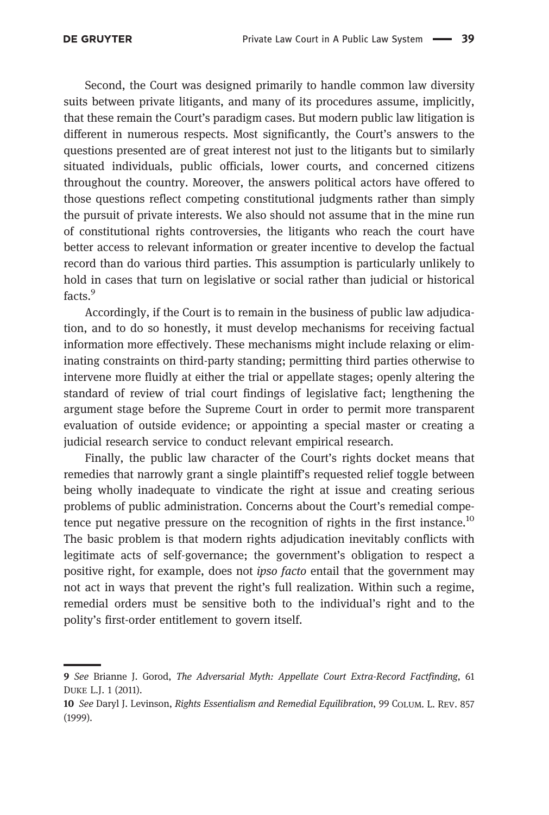Second, the Court was designed primarily to handle common law diversity suits between private litigants, and many of its procedures assume, implicitly, that these remain the Court's paradigm cases. But modern public law litigation is different in numerous respects. Most significantly, the Court's answers to the questions presented are of great interest not just to the litigants but to similarly situated individuals, public officials, lower courts, and concerned citizens throughout the country. Moreover, the answers political actors have offered to those questions reflect competing constitutional judgments rather than simply the pursuit of private interests. We also should not assume that in the mine run of constitutional rights controversies, the litigants who reach the court have better access to relevant information or greater incentive to develop the factual record than do various third parties. This assumption is particularly unlikely to hold in cases that turn on legislative or social rather than judicial or historical facts.<sup>9</sup>

Accordingly, if the Court is to remain in the business of public law adjudication, and to do so honestly, it must develop mechanisms for receiving factual information more effectively. These mechanisms might include relaxing or eliminating constraints on third-party standing; permitting third parties otherwise to intervene more fluidly at either the trial or appellate stages; openly altering the standard of review of trial court findings of legislative fact; lengthening the argument stage before the Supreme Court in order to permit more transparent evaluation of outside evidence; or appointing a special master or creating a judicial research service to conduct relevant empirical research.

Finally, the public law character of the Court's rights docket means that remedies that narrowly grant a single plaintiff's requested relief toggle between being wholly inadequate to vindicate the right at issue and creating serious problems of public administration. Concerns about the Court's remedial competence put negative pressure on the recognition of rights in the first instance.<sup>10</sup> The basic problem is that modern rights adjudication inevitably conflicts with legitimate acts of self-governance; the government's obligation to respect a positive right, for example, does not ipso facto entail that the government may not act in ways that prevent the right's full realization. Within such a regime, remedial orders must be sensitive both to the individual's right and to the polity's first-order entitlement to govern itself.

<sup>9</sup> See Brianne J. Gorod, The Adversarial Myth: Appellate Court Extra-Record Factfinding, 61 DUKE L.J. 1 (2011).

<sup>10</sup> See Daryl J. Levinson, Rights Essentialism and Remedial Equilibration, 99 COLUM. L. REV. 857 (1999).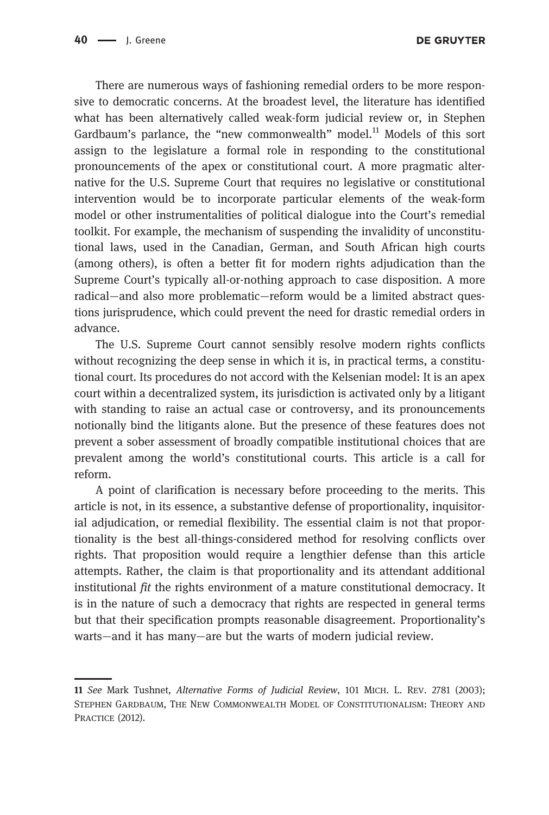There are numerous ways of fashioning remedial orders to be more responsive to democratic concerns. At the broadest level, the literature has identified what has been alternatively called weak-form judicial review or, in Stephen Gardbaum's parlance, the "new commonwealth" model.<sup>11</sup> Models of this sort assign to the legislature a formal role in responding to the constitutional pronouncements of the apex or constitutional court. A more pragmatic alternative for the U.S. Supreme Court that requires no legislative or constitutional intervention would be to incorporate particular elements of the weak-form model or other instrumentalities of political dialogue into the Court's remedial toolkit. For example, the mechanism of suspending the invalidity of unconstitutional laws, used in the Canadian, German, and South African high courts (among others), is often a better fit for modern rights adjudication than the Supreme Court's typically all-or-nothing approach to case disposition. A more radical—and also more problematic—reform would be a limited abstract questions jurisprudence, which could prevent the need for drastic remedial orders in advance.

The U.S. Supreme Court cannot sensibly resolve modern rights conflicts without recognizing the deep sense in which it is, in practical terms, a constitutional court. Its procedures do not accord with the Kelsenian model: It is an apex court within a decentralized system, its jurisdiction is activated only by a litigant with standing to raise an actual case or controversy, and its pronouncements notionally bind the litigants alone. But the presence of these features does not prevent a sober assessment of broadly compatible institutional choices that are prevalent among the world's constitutional courts. This article is a call for reform.

A point of clarification is necessary before proceeding to the merits. This article is not, in its essence, a substantive defense of proportionality, inquisitorial adjudication, or remedial flexibility. The essential claim is not that proportionality is the best all-things-considered method for resolving conflicts over rights. That proposition would require a lengthier defense than this article attempts. Rather, the claim is that proportionality and its attendant additional institutional fit the rights environment of a mature constitutional democracy. It is in the nature of such a democracy that rights are respected in general terms but that their specification prompts reasonable disagreement. Proportionality's warts—and it has many—are but the warts of modern judicial review.

<sup>11</sup> See Mark Tushnet, Alternative Forms of Judicial Review, 101 MICH. L. REV. 2781 (2003); STEPHEN GARDBAUM, THE NEW COMMONWEALTH MODEL OF CONSTITUTIONALISM: THEORY AND PRACTICE (2012).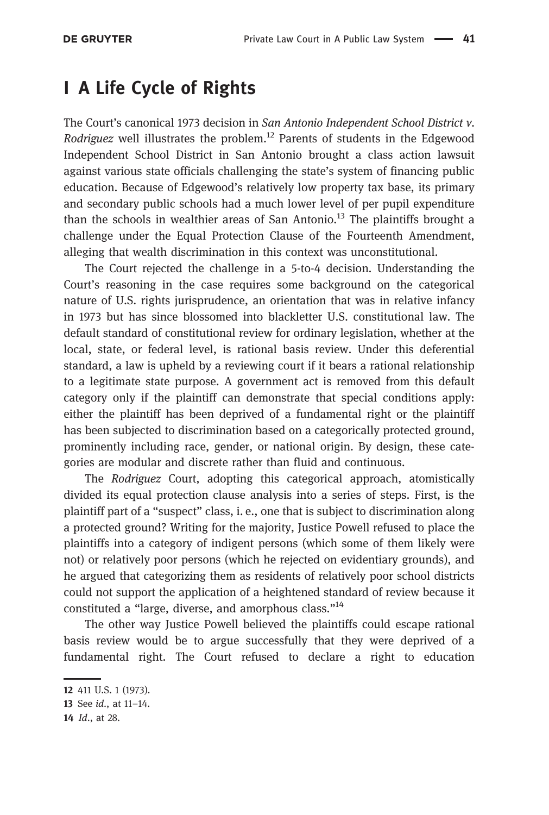## I A Life Cycle of Rights

The Court's canonical 1973 decision in San Antonio Independent School District v. Rodriguez well illustrates the problem.<sup>12</sup> Parents of students in the Edgewood Independent School District in San Antonio brought a class action lawsuit against various state officials challenging the state's system of financing public education. Because of Edgewood's relatively low property tax base, its primary and secondary public schools had a much lower level of per pupil expenditure than the schools in wealthier areas of San Antonio.<sup>13</sup> The plaintiffs brought a challenge under the Equal Protection Clause of the Fourteenth Amendment, alleging that wealth discrimination in this context was unconstitutional.

The Court rejected the challenge in a 5-to-4 decision. Understanding the Court's reasoning in the case requires some background on the categorical nature of U.S. rights jurisprudence, an orientation that was in relative infancy in 1973 but has since blossomed into blackletter U.S. constitutional law. The default standard of constitutional review for ordinary legislation, whether at the local, state, or federal level, is rational basis review. Under this deferential standard, a law is upheld by a reviewing court if it bears a rational relationship to a legitimate state purpose. A government act is removed from this default category only if the plaintiff can demonstrate that special conditions apply: either the plaintiff has been deprived of a fundamental right or the plaintiff has been subjected to discrimination based on a categorically protected ground, prominently including race, gender, or national origin. By design, these categories are modular and discrete rather than fluid and continuous.

The Rodriguez Court, adopting this categorical approach, atomistically divided its equal protection clause analysis into a series of steps. First, is the plaintiff part of a "suspect" class, i. e., one that is subject to discrimination along a protected ground? Writing for the majority, Justice Powell refused to place the plaintiffs into a category of indigent persons (which some of them likely were not) or relatively poor persons (which he rejected on evidentiary grounds), and he argued that categorizing them as residents of relatively poor school districts could not support the application of a heightened standard of review because it constituted a "large, diverse, and amorphous class."<sup>14</sup>

The other way Justice Powell believed the plaintiffs could escape rational basis review would be to argue successfully that they were deprived of a fundamental right. The Court refused to declare a right to education

<sup>12</sup> 411 U.S. 1 (1973).

<sup>13</sup> See id., at 11–14.

<sup>14</sup> Id., at 28.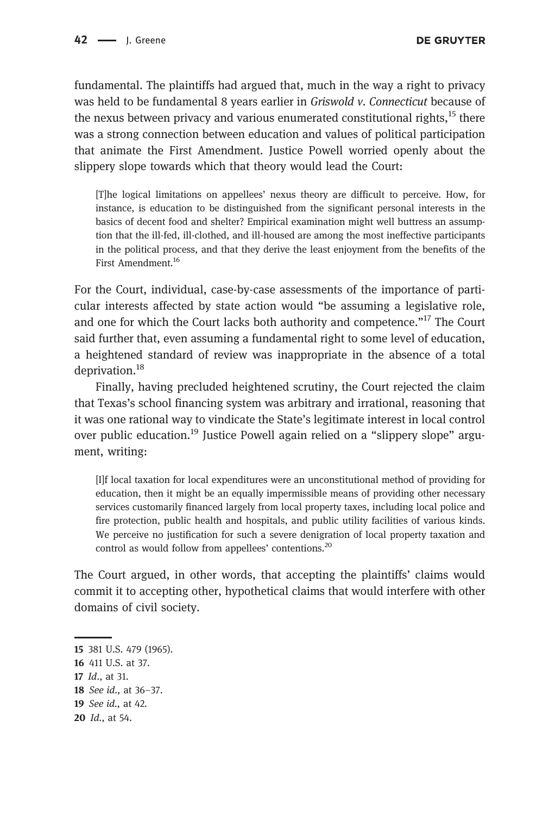fundamental. The plaintiffs had argued that, much in the way a right to privacy was held to be fundamental 8 years earlier in Griswold v. Connecticut because of the nexus between privacy and various enumerated constitutional rights, $^{15}$  there was a strong connection between education and values of political participation that animate the First Amendment. Justice Powell worried openly about the slippery slope towards which that theory would lead the Court:

[T]he logical limitations on appellees' nexus theory are difficult to perceive. How, for instance, is education to be distinguished from the significant personal interests in the basics of decent food and shelter? Empirical examination might well buttress an assumption that the ill-fed, ill-clothed, and ill-housed are among the most ineffective participants in the political process, and that they derive the least enjoyment from the benefits of the First Amendment.<sup>16</sup>

For the Court, individual, case-by-case assessments of the importance of particular interests affected by state action would "be assuming a legislative role, and one for which the Court lacks both authority and competence."<sup>17</sup> The Court said further that, even assuming a fundamental right to some level of education, a heightened standard of review was inappropriate in the absence of a total deprivation.<sup>18</sup>

Finally, having precluded heightened scrutiny, the Court rejected the claim that Texas's school financing system was arbitrary and irrational, reasoning that it was one rational way to vindicate the State's legitimate interest in local control over public education.<sup>19</sup> Justice Powell again relied on a "slippery slope" argument, writing:

[I]f local taxation for local expenditures were an unconstitutional method of providing for education, then it might be an equally impermissible means of providing other necessary services customarily financed largely from local property taxes, including local police and fire protection, public health and hospitals, and public utility facilities of various kinds. We perceive no justification for such a severe denigration of local property taxation and control as would follow from appellees' contentions.<sup>20</sup>

The Court argued, in other words, that accepting the plaintiffs' claims would commit it to accepting other, hypothetical claims that would interfere with other domains of civil society.

<sup>15</sup> 381 U.S. 479 (1965).

<sup>16</sup> 411 U.S. at 37.

<sup>17</sup> Id., at 31.

<sup>18</sup> See id., at 36–37.

<sup>19</sup> See id., at 42.

<sup>20</sup> Id., at 54.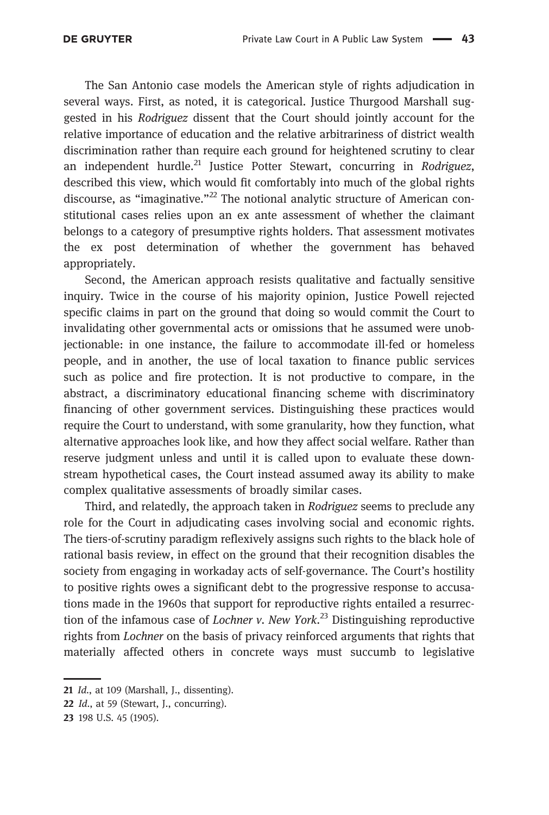The San Antonio case models the American style of rights adjudication in several ways. First, as noted, it is categorical. Justice Thurgood Marshall suggested in his Rodriguez dissent that the Court should jointly account for the relative importance of education and the relative arbitrariness of district wealth discrimination rather than require each ground for heightened scrutiny to clear an independent hurdle.<sup>21</sup> Justice Potter Stewart, concurring in Rodriguez, described this view, which would fit comfortably into much of the global rights discourse, as "imaginative."<sup>22</sup> The notional analytic structure of American constitutional cases relies upon an ex ante assessment of whether the claimant belongs to a category of presumptive rights holders. That assessment motivates the ex post determination of whether the government has behaved appropriately.

Second, the American approach resists qualitative and factually sensitive inquiry. Twice in the course of his majority opinion, Justice Powell rejected specific claims in part on the ground that doing so would commit the Court to invalidating other governmental acts or omissions that he assumed were unobjectionable: in one instance, the failure to accommodate ill-fed or homeless people, and in another, the use of local taxation to finance public services such as police and fire protection. It is not productive to compare, in the abstract, a discriminatory educational financing scheme with discriminatory financing of other government services. Distinguishing these practices would require the Court to understand, with some granularity, how they function, what alternative approaches look like, and how they affect social welfare. Rather than reserve judgment unless and until it is called upon to evaluate these downstream hypothetical cases, the Court instead assumed away its ability to make complex qualitative assessments of broadly similar cases.

Third, and relatedly, the approach taken in Rodriguez seems to preclude any role for the Court in adjudicating cases involving social and economic rights. The tiers-of-scrutiny paradigm reflexively assigns such rights to the black hole of rational basis review, in effect on the ground that their recognition disables the society from engaging in workaday acts of self-governance. The Court's hostility to positive rights owes a significant debt to the progressive response to accusations made in the 1960s that support for reproductive rights entailed a resurrection of the infamous case of *Lochner v. New York*.<sup>23</sup> Distinguishing reproductive rights from Lochner on the basis of privacy reinforced arguments that rights that materially affected others in concrete ways must succumb to legislative

<sup>21</sup> Id., at 109 (Marshall, J., dissenting).

<sup>22</sup> Id., at 59 (Stewart, J., concurring).

<sup>23</sup> 198 U.S. 45 (1905).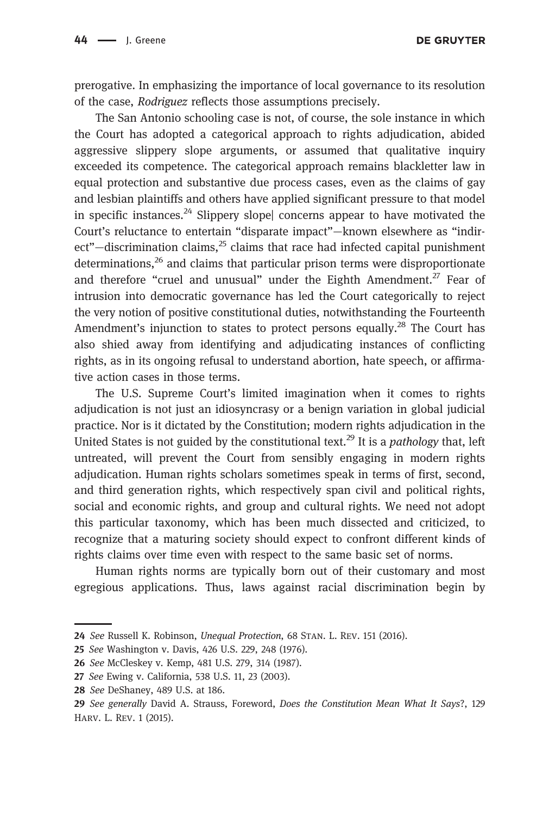**DE GRUYTER** 

prerogative. In emphasizing the importance of local governance to its resolution of the case, Rodriguez reflects those assumptions precisely.

The San Antonio schooling case is not, of course, the sole instance in which the Court has adopted a categorical approach to rights adjudication, abided aggressive slippery slope arguments, or assumed that qualitative inquiry exceeded its competence. The categorical approach remains blackletter law in equal protection and substantive due process cases, even as the claims of gay and lesbian plaintiffs and others have applied significant pressure to that model in specific instances.<sup>24</sup> Slippery slope| concerns appear to have motivated the Court's reluctance to entertain "disparate impact"—known elsewhere as "indir $ect$ "—discrimination claims, $^{25}$  claims that race had infected capital punishment determinations, $^{26}$  and claims that particular prison terms were disproportionate and therefore "cruel and unusual" under the Eighth Amendment.<sup>27</sup> Fear of intrusion into democratic governance has led the Court categorically to reject the very notion of positive constitutional duties, notwithstanding the Fourteenth Amendment's injunction to states to protect persons equally.<sup>28</sup> The Court has also shied away from identifying and adjudicating instances of conflicting rights, as in its ongoing refusal to understand abortion, hate speech, or affirmative action cases in those terms.

The U.S. Supreme Court's limited imagination when it comes to rights adjudication is not just an idiosyncrasy or a benign variation in global judicial practice. Nor is it dictated by the Constitution; modern rights adjudication in the United States is not guided by the constitutional text.<sup>29</sup> It is a *pathology* that, left untreated, will prevent the Court from sensibly engaging in modern rights adjudication. Human rights scholars sometimes speak in terms of first, second, and third generation rights, which respectively span civil and political rights, social and economic rights, and group and cultural rights. We need not adopt this particular taxonomy, which has been much dissected and criticized, to recognize that a maturing society should expect to confront different kinds of rights claims over time even with respect to the same basic set of norms.

Human rights norms are typically born out of their customary and most egregious applications. Thus, laws against racial discrimination begin by

<sup>24</sup> See Russell K. Robinson, Unequal Protection, 68 STAN. L. REV. 151 (2016).

<sup>25</sup> See Washington v. Davis, 426 U.S. 229, 248 (1976).

<sup>26</sup> See McCleskey v. Kemp, 481 U.S. 279, 314 (1987).

<sup>27</sup> See Ewing v. California, 538 U.S. 11, 23 (2003).

<sup>28</sup> See DeShaney, 489 U.S. at 186.

<sup>29</sup> See generally David A. Strauss, Foreword, Does the Constitution Mean What It Says?, 129 HARV. L. REV. 1 (2015).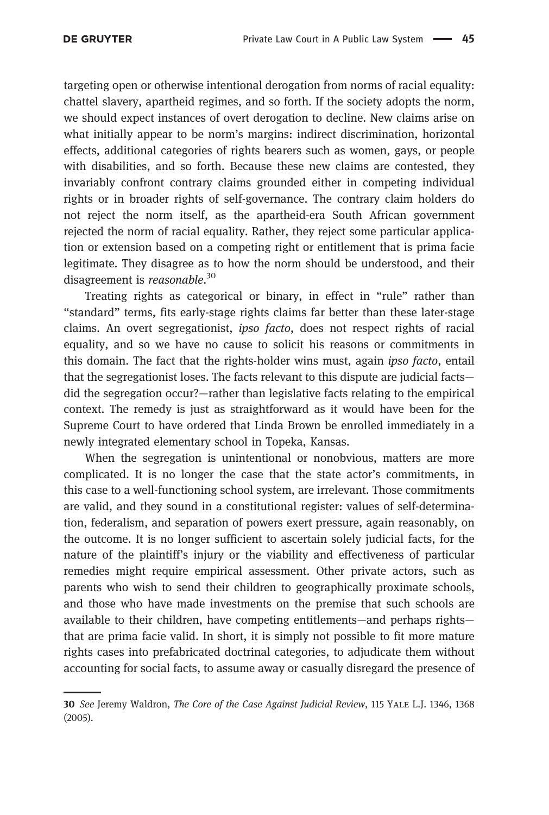targeting open or otherwise intentional derogation from norms of racial equality: chattel slavery, apartheid regimes, and so forth. If the society adopts the norm, we should expect instances of overt derogation to decline. New claims arise on what initially appear to be norm's margins: indirect discrimination, horizontal effects, additional categories of rights bearers such as women, gays, or people with disabilities, and so forth. Because these new claims are contested, they invariably confront contrary claims grounded either in competing individual rights or in broader rights of self-governance. The contrary claim holders do not reject the norm itself, as the apartheid-era South African government rejected the norm of racial equality. Rather, they reject some particular application or extension based on a competing right or entitlement that is prima facie legitimate. They disagree as to how the norm should be understood, and their disagreement is reasonable.<sup>30</sup>

Treating rights as categorical or binary, in effect in "rule" rather than "standard" terms, fits early-stage rights claims far better than these later-stage claims. An overt segregationist, ipso facto, does not respect rights of racial equality, and so we have no cause to solicit his reasons or commitments in this domain. The fact that the rights-holder wins must, again *ipso facto*, entail that the segregationist loses. The facts relevant to this dispute are judicial facts did the segregation occur?—rather than legislative facts relating to the empirical context. The remedy is just as straightforward as it would have been for the Supreme Court to have ordered that Linda Brown be enrolled immediately in a newly integrated elementary school in Topeka, Kansas.

When the segregation is unintentional or nonobvious, matters are more complicated. It is no longer the case that the state actor's commitments, in this case to a well-functioning school system, are irrelevant. Those commitments are valid, and they sound in a constitutional register: values of self-determination, federalism, and separation of powers exert pressure, again reasonably, on the outcome. It is no longer sufficient to ascertain solely judicial facts, for the nature of the plaintiff's injury or the viability and effectiveness of particular remedies might require empirical assessment. Other private actors, such as parents who wish to send their children to geographically proximate schools, and those who have made investments on the premise that such schools are available to their children, have competing entitlements—and perhaps rights that are prima facie valid. In short, it is simply not possible to fit more mature rights cases into prefabricated doctrinal categories, to adjudicate them without accounting for social facts, to assume away or casually disregard the presence of

<sup>30</sup> See Jeremy Waldron, The Core of the Case Against Judicial Review, 115 YALE L.J. 1346, 1368 (2005).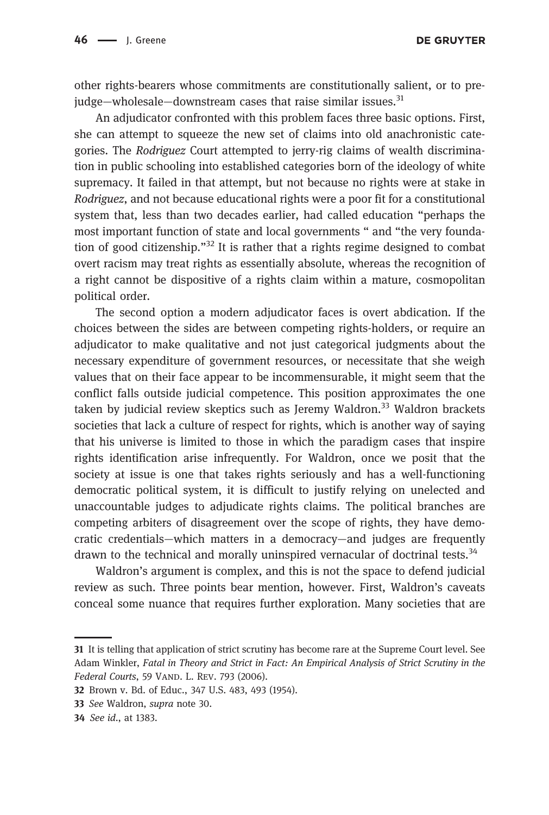**DE GRUYTER** 

other rights-bearers whose commitments are constitutionally salient, or to prejudge—wholesale—downstream cases that raise similar issues. $31$ 

An adjudicator confronted with this problem faces three basic options. First, she can attempt to squeeze the new set of claims into old anachronistic categories. The Rodriguez Court attempted to jerry-rig claims of wealth discrimination in public schooling into established categories born of the ideology of white supremacy. It failed in that attempt, but not because no rights were at stake in Rodriguez, and not because educational rights were a poor fit for a constitutional system that, less than two decades earlier, had called education "perhaps the most important function of state and local governments " and "the very foundation of good citizenship."<sup>32</sup> It is rather that a rights regime designed to combat overt racism may treat rights as essentially absolute, whereas the recognition of a right cannot be dispositive of a rights claim within a mature, cosmopolitan political order.

The second option a modern adjudicator faces is overt abdication. If the choices between the sides are between competing rights-holders, or require an adjudicator to make qualitative and not just categorical judgments about the necessary expenditure of government resources, or necessitate that she weigh values that on their face appear to be incommensurable, it might seem that the conflict falls outside judicial competence. This position approximates the one taken by judicial review skeptics such as Jeremy Waldron.<sup>33</sup> Waldron brackets societies that lack a culture of respect for rights, which is another way of saying that his universe is limited to those in which the paradigm cases that inspire rights identification arise infrequently. For Waldron, once we posit that the society at issue is one that takes rights seriously and has a well-functioning democratic political system, it is difficult to justify relying on unelected and unaccountable judges to adjudicate rights claims. The political branches are competing arbiters of disagreement over the scope of rights, they have democratic credentials—which matters in a democracy—and judges are frequently drawn to the technical and morally uninspired vernacular of doctrinal tests.<sup>34</sup>

Waldron's argument is complex, and this is not the space to defend judicial review as such. Three points bear mention, however. First, Waldron's caveats conceal some nuance that requires further exploration. Many societies that are

<sup>31</sup> It is telling that application of strict scrutiny has become rare at the Supreme Court level. See Adam Winkler, Fatal in Theory and Strict in Fact: An Empirical Analysis of Strict Scrutiny in the Federal Courts, 59 VAND. L. REV. 793 (2006).

<sup>32</sup> Brown v. Bd. of Educ., 347 U.S. 483, 493 (1954).

<sup>33</sup> See Waldron, supra note 30.

<sup>34</sup> See id., at 1383.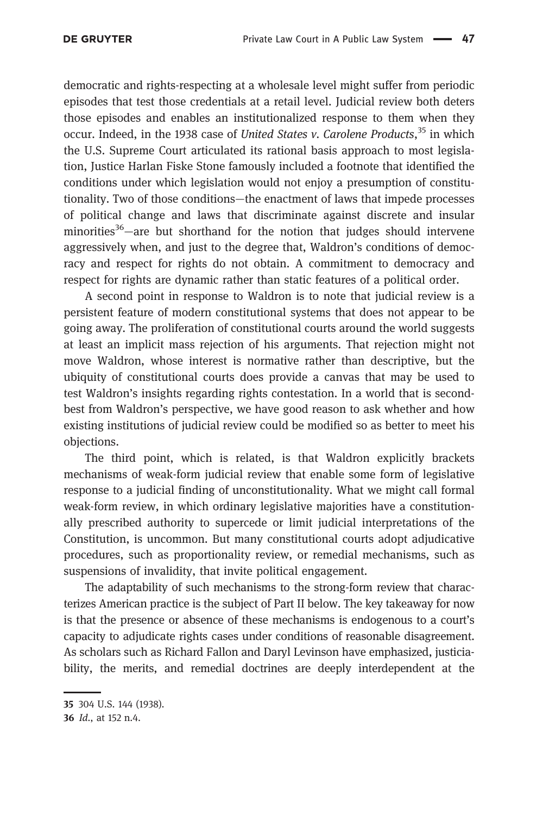democratic and rights-respecting at a wholesale level might suffer from periodic episodes that test those credentials at a retail level. Judicial review both deters those episodes and enables an institutionalized response to them when they occur. Indeed, in the 1938 case of United States v. Carolene Products,<sup>35</sup> in which the U.S. Supreme Court articulated its rational basis approach to most legislation, Justice Harlan Fiske Stone famously included a footnote that identified the conditions under which legislation would not enjoy a presumption of constitutionality. Two of those conditions—the enactment of laws that impede processes of political change and laws that discriminate against discrete and insular minorities<sup>36</sup>—are but shorthand for the notion that judges should intervene aggressively when, and just to the degree that, Waldron's conditions of democracy and respect for rights do not obtain. A commitment to democracy and respect for rights are dynamic rather than static features of a political order.

A second point in response to Waldron is to note that judicial review is a persistent feature of modern constitutional systems that does not appear to be going away. The proliferation of constitutional courts around the world suggests at least an implicit mass rejection of his arguments. That rejection might not move Waldron, whose interest is normative rather than descriptive, but the ubiquity of constitutional courts does provide a canvas that may be used to test Waldron's insights regarding rights contestation. In a world that is secondbest from Waldron's perspective, we have good reason to ask whether and how existing institutions of judicial review could be modified so as better to meet his objections.

The third point, which is related, is that Waldron explicitly brackets mechanisms of weak-form judicial review that enable some form of legislative response to a judicial finding of unconstitutionality. What we might call formal weak-form review, in which ordinary legislative majorities have a constitutionally prescribed authority to supercede or limit judicial interpretations of the Constitution, is uncommon. But many constitutional courts adopt adjudicative procedures, such as proportionality review, or remedial mechanisms, such as suspensions of invalidity, that invite political engagement.

The adaptability of such mechanisms to the strong-form review that characterizes American practice is the subject of Part II below. The key takeaway for now is that the presence or absence of these mechanisms is endogenous to a court's capacity to adjudicate rights cases under conditions of reasonable disagreement. As scholars such as Richard Fallon and Daryl Levinson have emphasized, justiciability, the merits, and remedial doctrines are deeply interdependent at the

<sup>35</sup> 304 U.S. 144 (1938).

<sup>36</sup> Id., at 152 n.4.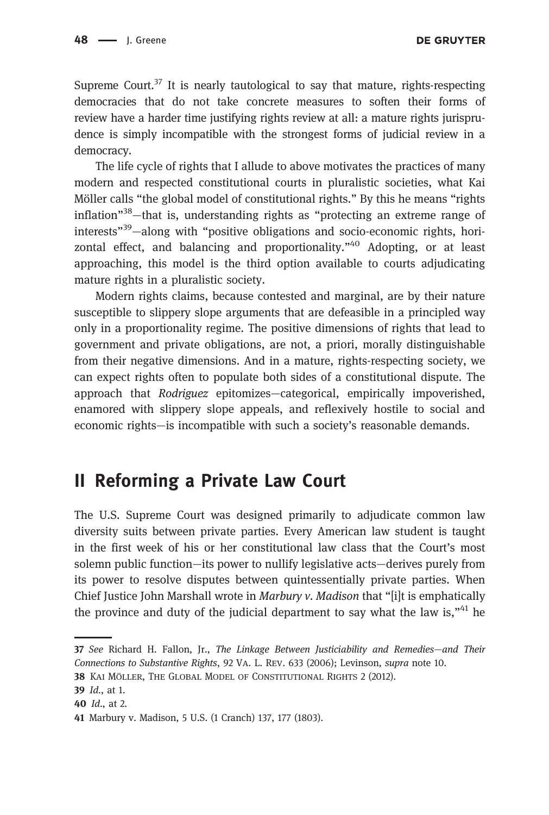Supreme Court.<sup>37</sup> It is nearly tautological to say that mature, rights-respecting democracies that do not take concrete measures to soften their forms of review have a harder time justifying rights review at all: a mature rights jurisprudence is simply incompatible with the strongest forms of judicial review in a democracy.

The life cycle of rights that I allude to above motivates the practices of many modern and respected constitutional courts in pluralistic societies, what Kai Möller calls "the global model of constitutional rights." By this he means "rights inflation"<sup>38</sup>—that is, understanding rights as "protecting an extreme range of interests<sup>39</sup>—along with "positive obligations and socio-economic rights, horizontal effect, and balancing and proportionality."<sup>40</sup> Adopting, or at least approaching, this model is the third option available to courts adjudicating mature rights in a pluralistic society.

Modern rights claims, because contested and marginal, are by their nature susceptible to slippery slope arguments that are defeasible in a principled way only in a proportionality regime. The positive dimensions of rights that lead to government and private obligations, are not, a priori, morally distinguishable from their negative dimensions. And in a mature, rights-respecting society, we can expect rights often to populate both sides of a constitutional dispute. The approach that Rodriguez epitomizes—categorical, empirically impoverished, enamored with slippery slope appeals, and reflexively hostile to social and economic rights—is incompatible with such a society's reasonable demands.

### II Reforming a Private Law Court

The U.S. Supreme Court was designed primarily to adjudicate common law diversity suits between private parties. Every American law student is taught in the first week of his or her constitutional law class that the Court's most solemn public function—its power to nullify legislative acts—derives purely from its power to resolve disputes between quintessentially private parties. When Chief Justice John Marshall wrote in Marbury v. Madison that "[i]t is emphatically the province and duty of the judicial department to say what the law is,"  $41$  he

<sup>37</sup> See Richard H. Fallon, Jr., The Linkage Between Justiciability and Remedies—and Their Connections to Substantive Rights, 92 VA. L. REV. 633 (2006); Levinson, supra note 10.

<sup>38</sup> KAI MÖLLER, THE GLOBAL MODEL OF CONSTITUTIONAL RIGHTS 2 (2012).

<sup>39</sup> Id., at 1.

<sup>40</sup> Id., at 2.

<sup>41</sup> Marbury v. Madison, 5 U.S. (1 Cranch) 137, 177 (1803).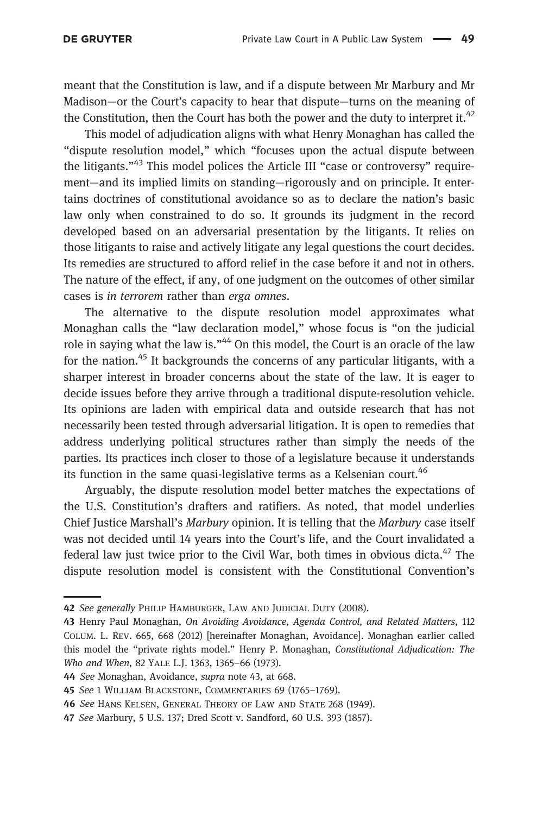meant that the Constitution is law, and if a dispute between Mr Marbury and Mr Madison—or the Court's capacity to hear that dispute—turns on the meaning of the Constitution, then the Court has both the power and the duty to interpret it.<sup>42</sup>

This model of adjudication aligns with what Henry Monaghan has called the "dispute resolution model," which "focuses upon the actual dispute between the litigants."<sup>43</sup> This model polices the Article III "case or controversy" requirement—and its implied limits on standing—rigorously and on principle. It entertains doctrines of constitutional avoidance so as to declare the nation's basic law only when constrained to do so. It grounds its judgment in the record developed based on an adversarial presentation by the litigants. It relies on those litigants to raise and actively litigate any legal questions the court decides. Its remedies are structured to afford relief in the case before it and not in others. The nature of the effect, if any, of one judgment on the outcomes of other similar cases is in terrorem rather than erga omnes.

The alternative to the dispute resolution model approximates what Monaghan calls the "law declaration model," whose focus is "on the judicial role in saving what the law is."<sup>44</sup> On this model, the Court is an oracle of the law for the nation.<sup>45</sup> It backgrounds the concerns of any particular litigants, with a sharper interest in broader concerns about the state of the law. It is eager to decide issues before they arrive through a traditional dispute-resolution vehicle. Its opinions are laden with empirical data and outside research that has not necessarily been tested through adversarial litigation. It is open to remedies that address underlying political structures rather than simply the needs of the parties. Its practices inch closer to those of a legislature because it understands its function in the same quasi-legislative terms as a Kelsenian court.  $46$ 

Arguably, the dispute resolution model better matches the expectations of the U.S. Constitution's drafters and ratifiers. As noted, that model underlies Chief Justice Marshall's Marbury opinion. It is telling that the Marbury case itself was not decided until 14 years into the Court's life, and the Court invalidated a federal law just twice prior to the Civil War, both times in obvious dicta.<sup>47</sup> The dispute resolution model is consistent with the Constitutional Convention's

<sup>42</sup> See generally PHILIP HAMBURGER, LAW AND JUDICIAL DUTY (2008).

<sup>43</sup> Henry Paul Monaghan, On Avoiding Avoidance, Agenda Control, and Related Matters, 112 COLUM. L. REV. 665, 668 (2012) [hereinafter Monaghan, Avoidance]. Monaghan earlier called this model the "private rights model." Henry P. Monaghan, Constitutional Adjudication: The Who and When, 82 YALE L.J. 1363, 1365–66 (1973).

<sup>44</sup> See Monaghan, Avoidance, supra note 43, at 668.

<sup>45</sup> See 1 WILLIAM BLACKSTONE, COMMENTARIES 69 (1765–1769).

<sup>46</sup> See HANS KELSEN, GENERAL THEORY OF LAW AND STATE 268 (1949).

<sup>47</sup> See Marbury, 5 U.S. 137; Dred Scott v. Sandford, 60 U.S. 393 (1857).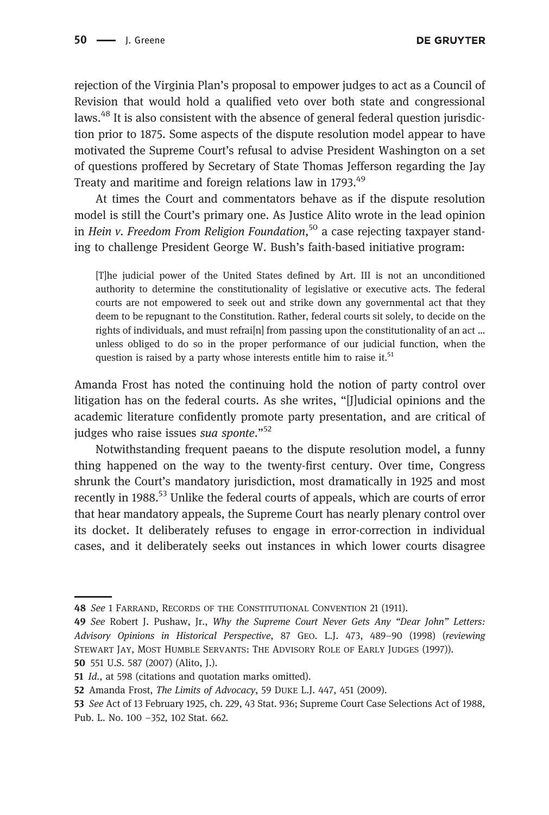rejection of the Virginia Plan's proposal to empower judges to act as a Council of Revision that would hold a qualified veto over both state and congressional laws.<sup>48</sup> It is also consistent with the absence of general federal question jurisdiction prior to 1875. Some aspects of the dispute resolution model appear to have motivated the Supreme Court's refusal to advise President Washington on a set of questions proffered by Secretary of State Thomas Jefferson regarding the Jay Treaty and maritime and foreign relations law in 1793.<sup>49</sup>

At times the Court and commentators behave as if the dispute resolution model is still the Court's primary one. As Justice Alito wrote in the lead opinion in Hein v. Freedom From Religion Foundation,<sup>50</sup> a case rejecting taxpayer standing to challenge President George W. Bush's faith-based initiative program:

[T]he judicial power of the United States defined by Art. III is not an unconditioned authority to determine the constitutionality of legislative or executive acts. The federal courts are not empowered to seek out and strike down any governmental act that they deem to be repugnant to the Constitution. Rather, federal courts sit solely, to decide on the rights of individuals, and must refrai<sup>[n]</sup> from passing upon the constitutionality of an act ... unless obliged to do so in the proper performance of our judicial function, when the question is raised by a party whose interests entitle him to raise it. $51$ 

Amanda Frost has noted the continuing hold the notion of party control over litigation has on the federal courts. As she writes, "[J]udicial opinions and the academic literature confidently promote party presentation, and are critical of judges who raise issues sua sponte."<sup>52</sup>

Notwithstanding frequent paeans to the dispute resolution model, a funny thing happened on the way to the twenty-first century. Over time, Congress shrunk the Court's mandatory jurisdiction, most dramatically in 1925 and most recently in 1988.<sup>53</sup> Unlike the federal courts of appeals, which are courts of error that hear mandatory appeals, the Supreme Court has nearly plenary control over its docket. It deliberately refuses to engage in error-correction in individual cases, and it deliberately seeks out instances in which lower courts disagree

<sup>48</sup> See 1 FARRAND, RECORDS OF THE CONSTITUTIONAL CONVENTION 21 (1911).

<sup>49</sup> See Robert J. Pushaw, Jr., Why the Supreme Court Never Gets Any "Dear John" Letters: Advisory Opinions in Historical Perspective, 87 GEO. L.J. 473, 489–90 (1998) (reviewing STEWART JAY, MOST HUMBLE SERVANTS: THE ADVISORY ROLE OF EARLY JUDGES (1997)). 50 551 U.S. 587 (2007) (Alito, J.).

<sup>51</sup> Id., at 598 (citations and quotation marks omitted).

<sup>52</sup> Amanda Frost, The Limits of Advocacy, 59 DUKE L.J. 447, 451 (2009).

<sup>53</sup> See Act of 13 February 1925, ch. 229, 43 Stat. 936; Supreme Court Case Selections Act of 1988, Pub. L. No. 100 –352, 102 Stat. 662.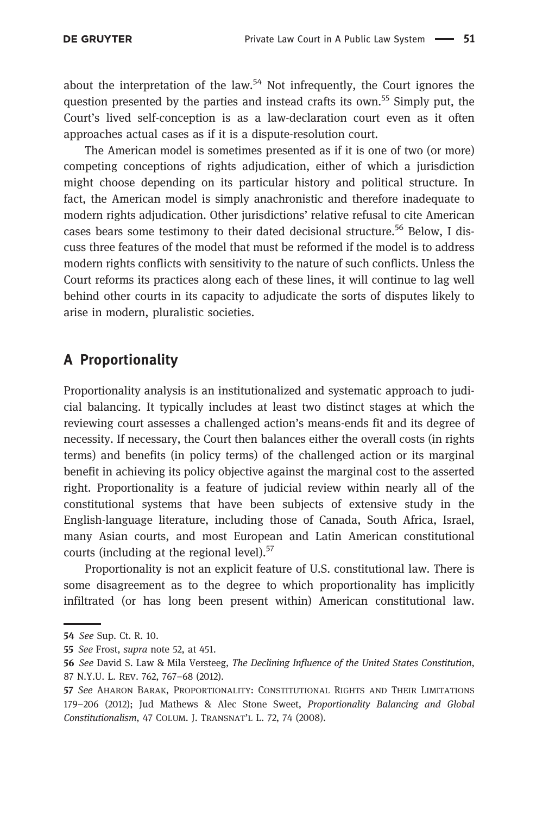about the interpretation of the law.<sup>54</sup> Not infrequently, the Court ignores the question presented by the parties and instead crafts its own.<sup>55</sup> Simply put, the Court's lived self-conception is as a law-declaration court even as it often approaches actual cases as if it is a dispute-resolution court.

The American model is sometimes presented as if it is one of two (or more) competing conceptions of rights adjudication, either of which a jurisdiction might choose depending on its particular history and political structure. In fact, the American model is simply anachronistic and therefore inadequate to modern rights adjudication. Other jurisdictions' relative refusal to cite American cases bears some testimony to their dated decisional structure.<sup>56</sup> Below, I discuss three features of the model that must be reformed if the model is to address modern rights conflicts with sensitivity to the nature of such conflicts. Unless the Court reforms its practices along each of these lines, it will continue to lag well behind other courts in its capacity to adjudicate the sorts of disputes likely to arise in modern, pluralistic societies.

#### A Proportionality

Proportionality analysis is an institutionalized and systematic approach to judicial balancing. It typically includes at least two distinct stages at which the reviewing court assesses a challenged action's means-ends fit and its degree of necessity. If necessary, the Court then balances either the overall costs (in rights terms) and benefits (in policy terms) of the challenged action or its marginal benefit in achieving its policy objective against the marginal cost to the asserted right. Proportionality is a feature of judicial review within nearly all of the constitutional systems that have been subjects of extensive study in the English-language literature, including those of Canada, South Africa, Israel, many Asian courts, and most European and Latin American constitutional courts (including at the regional level). $57$ 

Proportionality is not an explicit feature of U.S. constitutional law. There is some disagreement as to the degree to which proportionality has implicitly infiltrated (or has long been present within) American constitutional law.

<sup>54</sup> See Sup. Ct. R. 10.

<sup>55</sup> See Frost, supra note 52, at 451.

<sup>56</sup> See David S. Law & Mila Versteeg, The Declining Influence of the United States Constitution, 87 N.Y.U. L. REV. 762, 767–68 (2012).

<sup>57</sup> See AHARON BARAK, PROPORTIONALITY: CONSTITUTIONAL RIGHTS AND THEIR LIMITATIONS 179–206 (2012); Jud Mathews & Alec Stone Sweet, Proportionality Balancing and Global Constitutionalism, 47 COLUM. J. TRANSNAT'L L. 72, 74 (2008).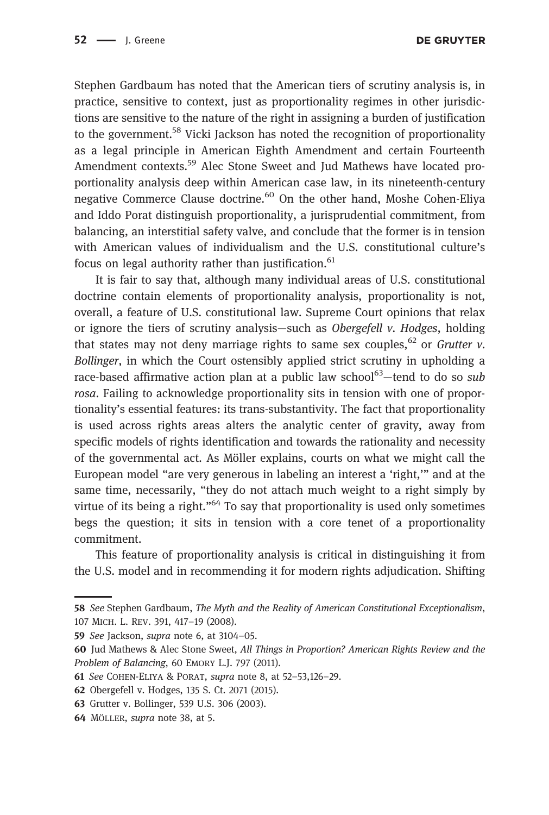Stephen Gardbaum has noted that the American tiers of scrutiny analysis is, in practice, sensitive to context, just as proportionality regimes in other jurisdictions are sensitive to the nature of the right in assigning a burden of justification to the government.<sup>58</sup> Vicki Jackson has noted the recognition of proportionality as a legal principle in American Eighth Amendment and certain Fourteenth Amendment contexts.<sup>59</sup> Alec Stone Sweet and Jud Mathews have located proportionality analysis deep within American case law, in its nineteenth-century negative Commerce Clause doctrine.<sup>60</sup> On the other hand, Moshe Cohen-Eliya and Iddo Porat distinguish proportionality, a jurisprudential commitment, from balancing, an interstitial safety valve, and conclude that the former is in tension with American values of individualism and the U.S. constitutional culture's focus on legal authority rather than justification. $61$ 

It is fair to say that, although many individual areas of U.S. constitutional doctrine contain elements of proportionality analysis, proportionality is not, overall, a feature of U.S. constitutional law. Supreme Court opinions that relax or ignore the tiers of scrutiny analysis—such as *Obergefell v. Hodges*, holding that states may not deny marriage rights to same sex couples,  $62$  or *Grutter v*. Bollinger, in which the Court ostensibly applied strict scrutiny in upholding a race-based affirmative action plan at a public law school<sup>63</sup>—tend to do so sub rosa. Failing to acknowledge proportionality sits in tension with one of proportionality's essential features: its trans-substantivity. The fact that proportionality is used across rights areas alters the analytic center of gravity, away from specific models of rights identification and towards the rationality and necessity of the governmental act. As Möller explains, courts on what we might call the European model "are very generous in labeling an interest a 'right,'" and at the same time, necessarily, "they do not attach much weight to a right simply by virtue of its being a right."<sup>64</sup> To say that proportionality is used only sometimes begs the question; it sits in tension with a core tenet of a proportionality commitment.

This feature of proportionality analysis is critical in distinguishing it from the U.S. model and in recommending it for modern rights adjudication. Shifting

<sup>58</sup> See Stephen Gardbaum, The Myth and the Reality of American Constitutional Exceptionalism, 107 MICH. L. REV. 391, 417–19 (2008).

<sup>59</sup> See Jackson, supra note 6, at 3104–05.

<sup>60</sup> Jud Mathews & Alec Stone Sweet, All Things in Proportion? American Rights Review and the Problem of Balancing, 60 EMORY L.J. 797 (2011).

<sup>61</sup> See COHEN-ELIYA & PORAT, supra note 8, at 52–53,126–29.

<sup>62</sup> Obergefell v. Hodges, 135 S. Ct. 2071 (2015).

<sup>63</sup> Grutter v. Bollinger, 539 U.S. 306 (2003).

<sup>64</sup> MÖLLER, supra note 38, at 5.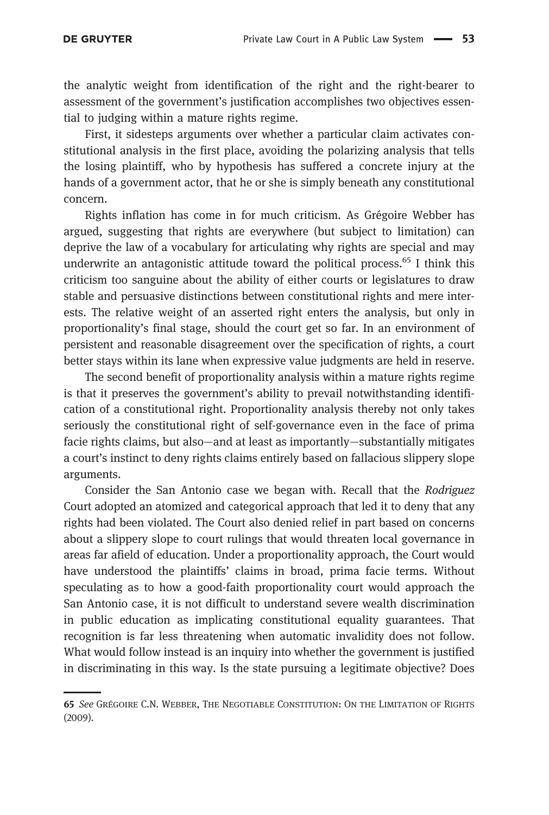the analytic weight from identification of the right and the right-bearer to assessment of the government's justification accomplishes two objectives essential to judging within a mature rights regime.

First, it sidesteps arguments over whether a particular claim activates constitutional analysis in the first place, avoiding the polarizing analysis that tells the losing plaintiff, who by hypothesis has suffered a concrete injury at the hands of a government actor, that he or she is simply beneath any constitutional concern.

Rights inflation has come in for much criticism. As Grégoire Webber has argued, suggesting that rights are everywhere (but subject to limitation) can deprive the law of a vocabulary for articulating why rights are special and may underwrite an antagonistic attitude toward the political process.<sup>65</sup> I think this criticism too sanguine about the ability of either courts or legislatures to draw stable and persuasive distinctions between constitutional rights and mere interests. The relative weight of an asserted right enters the analysis, but only in proportionality's final stage, should the court get so far. In an environment of persistent and reasonable disagreement over the specification of rights, a court better stays within its lane when expressive value judgments are held in reserve.

The second benefit of proportionality analysis within a mature rights regime is that it preserves the government's ability to prevail notwithstanding identification of a constitutional right. Proportionality analysis thereby not only takes seriously the constitutional right of self-governance even in the face of prima facie rights claims, but also—and at least as importantly—substantially mitigates a court's instinct to deny rights claims entirely based on fallacious slippery slope arguments.

Consider the San Antonio case we began with. Recall that the Rodriguez Court adopted an atomized and categorical approach that led it to deny that any rights had been violated. The Court also denied relief in part based on concerns about a slippery slope to court rulings that would threaten local governance in areas far afield of education. Under a proportionality approach, the Court would have understood the plaintiffs' claims in broad, prima facie terms. Without speculating as to how a good-faith proportionality court would approach the San Antonio case, it is not difficult to understand severe wealth discrimination in public education as implicating constitutional equality guarantees. That recognition is far less threatening when automatic invalidity does not follow. What would follow instead is an inquiry into whether the government is justified in discriminating in this way. Is the state pursuing a legitimate objective? Does

<sup>65</sup> See GRÉGOIRE C.N. WEBBER, THE NEGOTIABLE CONSTITUTION: ON THE LIMITATION OF RIGHTS (2009).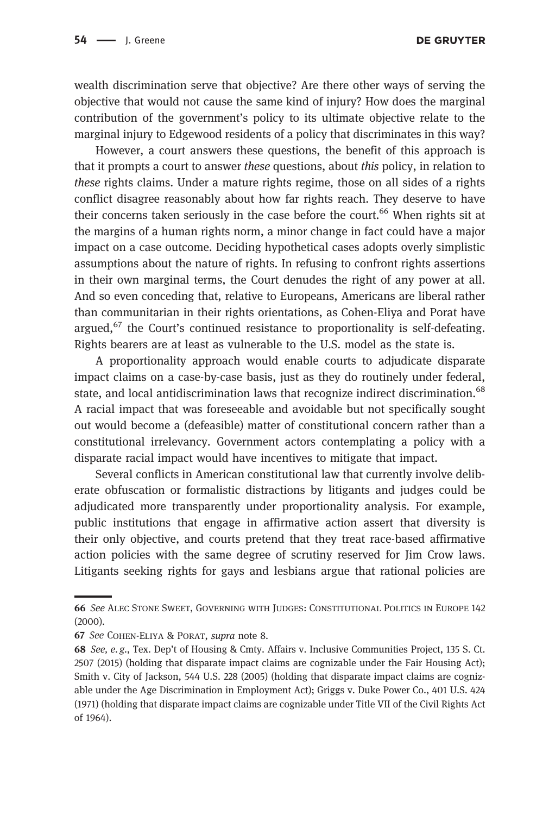wealth discrimination serve that objective? Are there other ways of serving the objective that would not cause the same kind of injury? How does the marginal contribution of the government's policy to its ultimate objective relate to the marginal injury to Edgewood residents of a policy that discriminates in this way?

However, a court answers these questions, the benefit of this approach is that it prompts a court to answer these questions, about this policy, in relation to these rights claims. Under a mature rights regime, those on all sides of a rights conflict disagree reasonably about how far rights reach. They deserve to have their concerns taken seriously in the case before the court.<sup>66</sup> When rights sit at the margins of a human rights norm, a minor change in fact could have a major impact on a case outcome. Deciding hypothetical cases adopts overly simplistic assumptions about the nature of rights. In refusing to confront rights assertions in their own marginal terms, the Court denudes the right of any power at all. And so even conceding that, relative to Europeans, Americans are liberal rather than communitarian in their rights orientations, as Cohen-Eliya and Porat have argued, $67$  the Court's continued resistance to proportionality is self-defeating. Rights bearers are at least as vulnerable to the U.S. model as the state is.

A proportionality approach would enable courts to adjudicate disparate impact claims on a case-by-case basis, just as they do routinely under federal, state, and local antidiscrimination laws that recognize indirect discrimination.<sup>68</sup> A racial impact that was foreseeable and avoidable but not specifically sought out would become a (defeasible) matter of constitutional concern rather than a constitutional irrelevancy. Government actors contemplating a policy with a disparate racial impact would have incentives to mitigate that impact.

Several conflicts in American constitutional law that currently involve deliberate obfuscation or formalistic distractions by litigants and judges could be adjudicated more transparently under proportionality analysis. For example, public institutions that engage in affirmative action assert that diversity is their only objective, and courts pretend that they treat race-based affirmative action policies with the same degree of scrutiny reserved for Jim Crow laws. Litigants seeking rights for gays and lesbians argue that rational policies are

<sup>66</sup> See ALEC STONE SWEET, GOVERNING WITH JUDGES: CONSTITUTIONAL POLITICS IN EUROPE 142 (2000).

<sup>67</sup> See COHEN-ELIYA & PORAT, supra note 8.

<sup>68</sup> See, e. g., Tex. Dep't of Housing & Cmty. Affairs v. Inclusive Communities Project, 135 S. Ct. 2507 (2015) (holding that disparate impact claims are cognizable under the Fair Housing Act); Smith v. City of Jackson, 544 U.S. 228 (2005) (holding that disparate impact claims are cognizable under the Age Discrimination in Employment Act); Griggs v. Duke Power Co., 401 U.S. 424 (1971) (holding that disparate impact claims are cognizable under Title VII of the Civil Rights Act of 1964).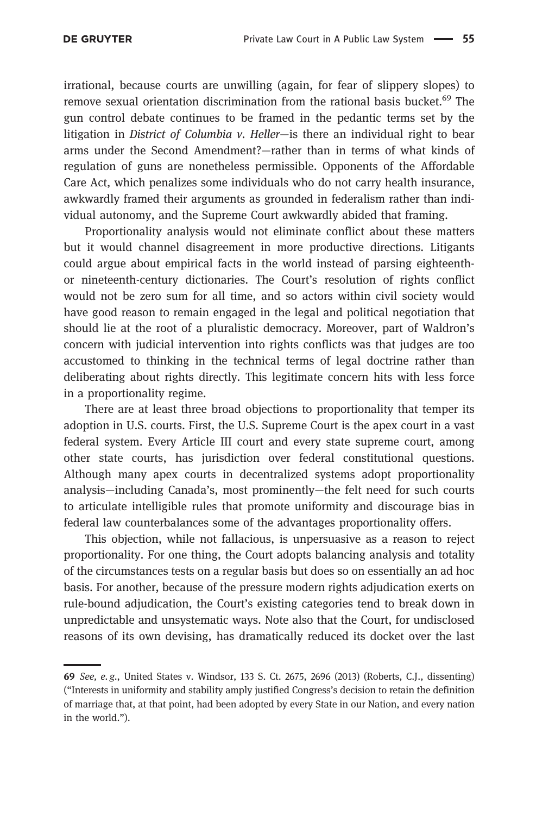irrational, because courts are unwilling (again, for fear of slippery slopes) to remove sexual orientation discrimination from the rational basis bucket.<sup>69</sup> The gun control debate continues to be framed in the pedantic terms set by the litigation in *District of Columbia v. Heller*—is there an individual right to bear arms under the Second Amendment?—rather than in terms of what kinds of regulation of guns are nonetheless permissible. Opponents of the Affordable Care Act, which penalizes some individuals who do not carry health insurance, awkwardly framed their arguments as grounded in federalism rather than individual autonomy, and the Supreme Court awkwardly abided that framing.

Proportionality analysis would not eliminate conflict about these matters but it would channel disagreement in more productive directions. Litigants could argue about empirical facts in the world instead of parsing eighteenthor nineteenth-century dictionaries. The Court's resolution of rights conflict would not be zero sum for all time, and so actors within civil society would have good reason to remain engaged in the legal and political negotiation that should lie at the root of a pluralistic democracy. Moreover, part of Waldron's concern with judicial intervention into rights conflicts was that judges are too accustomed to thinking in the technical terms of legal doctrine rather than deliberating about rights directly. This legitimate concern hits with less force in a proportionality regime.

There are at least three broad objections to proportionality that temper its adoption in U.S. courts. First, the U.S. Supreme Court is the apex court in a vast federal system. Every Article III court and every state supreme court, among other state courts, has jurisdiction over federal constitutional questions. Although many apex courts in decentralized systems adopt proportionality analysis—including Canada's, most prominently—the felt need for such courts to articulate intelligible rules that promote uniformity and discourage bias in federal law counterbalances some of the advantages proportionality offers.

This objection, while not fallacious, is unpersuasive as a reason to reject proportionality. For one thing, the Court adopts balancing analysis and totality of the circumstances tests on a regular basis but does so on essentially an ad hoc basis. For another, because of the pressure modern rights adjudication exerts on rule-bound adjudication, the Court's existing categories tend to break down in unpredictable and unsystematic ways. Note also that the Court, for undisclosed reasons of its own devising, has dramatically reduced its docket over the last

<sup>69</sup> See, e. g., United States v. Windsor, 133 S. Ct. 2675, 2696 (2013) (Roberts, C.J., dissenting) ("Interests in uniformity and stability amply justified Congress's decision to retain the definition of marriage that, at that point, had been adopted by every State in our Nation, and every nation in the world.").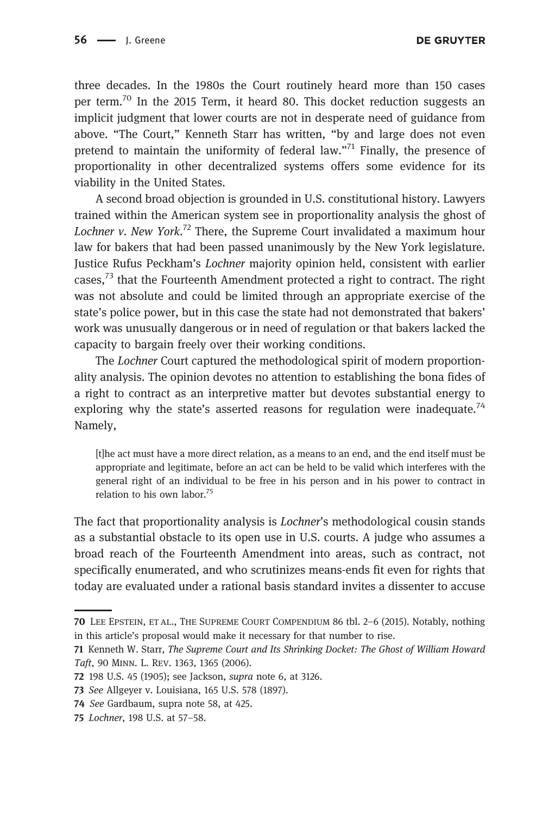three decades. In the 1980s the Court routinely heard more than 150 cases per term.<sup>70</sup> In the 2015 Term, it heard 80. This docket reduction suggests an implicit judgment that lower courts are not in desperate need of guidance from above. "The Court," Kenneth Starr has written, "by and large does not even pretend to maintain the uniformity of federal law."<sup>71</sup> Finally, the presence of proportionality in other decentralized systems offers some evidence for its viability in the United States.

A second broad objection is grounded in U.S. constitutional history. Lawyers trained within the American system see in proportionality analysis the ghost of Lochner v. New York.<sup>72</sup> There, the Supreme Court invalidated a maximum hour law for bakers that had been passed unanimously by the New York legislature. Justice Rufus Peckham's Lochner majority opinion held, consistent with earlier cases, $^{73}$  that the Fourteenth Amendment protected a right to contract. The right was not absolute and could be limited through an appropriate exercise of the state's police power, but in this case the state had not demonstrated that bakers' work was unusually dangerous or in need of regulation or that bakers lacked the capacity to bargain freely over their working conditions.

The Lochner Court captured the methodological spirit of modern proportionality analysis. The opinion devotes no attention to establishing the bona fides of a right to contract as an interpretive matter but devotes substantial energy to exploring why the state's asserted reasons for regulation were inadequate.<sup>74</sup> Namely,

[t]he act must have a more direct relation, as a means to an end, and the end itself must be appropriate and legitimate, before an act can be held to be valid which interferes with the general right of an individual to be free in his person and in his power to contract in relation to his own labor.<sup>75</sup>

The fact that proportionality analysis is Lochner's methodological cousin stands as a substantial obstacle to its open use in U.S. courts. A judge who assumes a broad reach of the Fourteenth Amendment into areas, such as contract, not specifically enumerated, and who scrutinizes means-ends fit even for rights that today are evaluated under a rational basis standard invites a dissenter to accuse

<sup>70</sup> LEE EPSTEIN, ET AL., THE SUPREME COURT COMPENDIUM 86 tbl. 2–6 (2015). Notably, nothing in this article's proposal would make it necessary for that number to rise.

<sup>71</sup> Kenneth W. Starr, The Supreme Court and Its Shrinking Docket: The Ghost of William Howard Taft, 90 MINN. L. REV. 1363, 1365 (2006).

<sup>72</sup> 198 U.S. 45 (1905); see Jackson, supra note 6, at 3126.

<sup>73</sup> See Allgeyer v. Louisiana, 165 U.S. 578 (1897).

<sup>74</sup> See Gardbaum, supra note 58, at 425.

<sup>75</sup> Lochner, 198 U.S. at 57–58.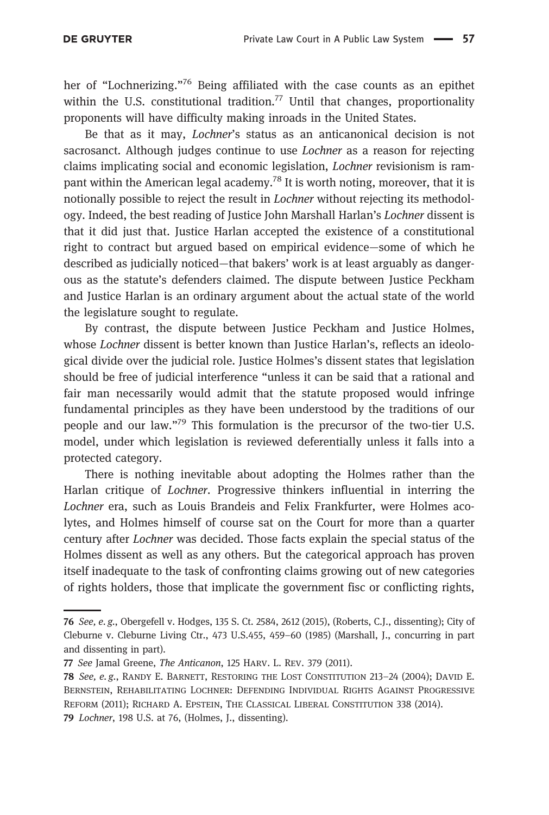her of "Lochnerizing."<sup>76</sup> Being affiliated with the case counts as an epithet within the U.S. constitutional tradition.<sup>77</sup> Until that changes, proportionality proponents will have difficulty making inroads in the United States.

Be that as it may, Lochner's status as an anticanonical decision is not sacrosanct. Although judges continue to use Lochner as a reason for rejecting claims implicating social and economic legislation, Lochner revisionism is rampant within the American legal academy.<sup>78</sup> It is worth noting, moreover, that it is notionally possible to reject the result in Lochner without rejecting its methodology. Indeed, the best reading of Justice John Marshall Harlan's Lochner dissent is that it did just that. Justice Harlan accepted the existence of a constitutional right to contract but argued based on empirical evidence—some of which he described as judicially noticed—that bakers' work is at least arguably as dangerous as the statute's defenders claimed. The dispute between Justice Peckham and Justice Harlan is an ordinary argument about the actual state of the world the legislature sought to regulate.

By contrast, the dispute between Justice Peckham and Justice Holmes, whose Lochner dissent is better known than Justice Harlan's, reflects an ideological divide over the judicial role. Justice Holmes's dissent states that legislation should be free of judicial interference "unless it can be said that a rational and fair man necessarily would admit that the statute proposed would infringe fundamental principles as they have been understood by the traditions of our people and our law."<sup>79</sup> This formulation is the precursor of the two-tier U.S. model, under which legislation is reviewed deferentially unless it falls into a protected category.

There is nothing inevitable about adopting the Holmes rather than the Harlan critique of Lochner. Progressive thinkers influential in interring the Lochner era, such as Louis Brandeis and Felix Frankfurter, were Holmes acolytes, and Holmes himself of course sat on the Court for more than a quarter century after Lochner was decided. Those facts explain the special status of the Holmes dissent as well as any others. But the categorical approach has proven itself inadequate to the task of confronting claims growing out of new categories of rights holders, those that implicate the government fisc or conflicting rights,

<sup>76</sup> See, e. g., Obergefell v. Hodges, 135 S. Ct. 2584, 2612 (2015), (Roberts, C.J., dissenting); City of Cleburne v. Cleburne Living Ctr., 473 U.S.455, 459–60 (1985) (Marshall, J., concurring in part and dissenting in part).

<sup>77</sup> See Jamal Greene, The Anticanon, 125 HARV. L. REV. 379 (2011).

<sup>78</sup> See, e.g., RANDY E. BARNETT, RESTORING THE LOST CONSTITUTION 213-24 (2004); DAVID E. BERNSTEIN, REHABILITATING LOCHNER: DEFENDING INDIVIDUAL RIGHTS AGAINST PROGRESSIVE REFORM (2011); RICHARD A. EPSTEIN, THE CLASSICAL LIBERAL CONSTITUTION 338 (2014). 79 Lochner, 198 U.S. at 76, (Holmes, J., dissenting).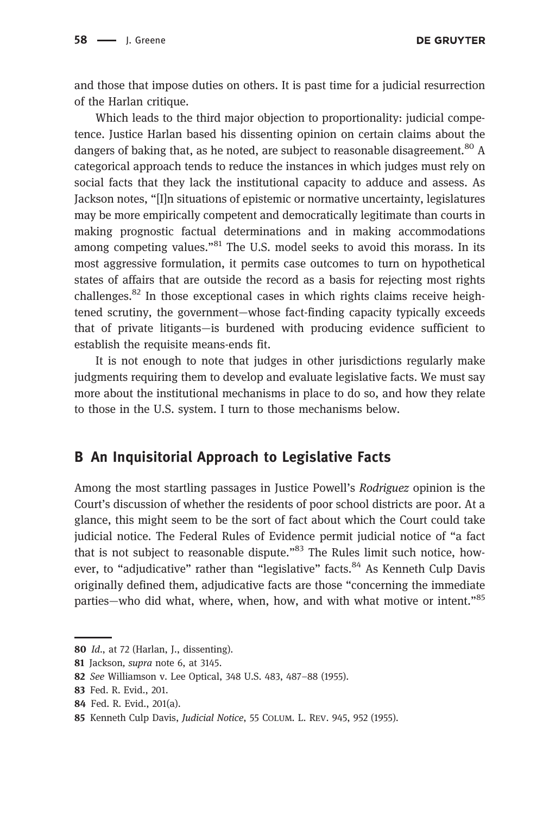**DE GRUYTER** 

and those that impose duties on others. It is past time for a judicial resurrection of the Harlan critique.

Which leads to the third major objection to proportionality: judicial competence. Justice Harlan based his dissenting opinion on certain claims about the dangers of baking that, as he noted, are subject to reasonable disagreement.<sup>80</sup> A categorical approach tends to reduce the instances in which judges must rely on social facts that they lack the institutional capacity to adduce and assess. As Jackson notes, "[I]n situations of epistemic or normative uncertainty, legislatures may be more empirically competent and democratically legitimate than courts in making prognostic factual determinations and in making accommodations among competing values. $^{81}$  The U.S. model seeks to avoid this morass. In its most aggressive formulation, it permits case outcomes to turn on hypothetical states of affairs that are outside the record as a basis for rejecting most rights challenges. $82$  In those exceptional cases in which rights claims receive heightened scrutiny, the government—whose fact-finding capacity typically exceeds that of private litigants—is burdened with producing evidence sufficient to establish the requisite means-ends fit.

It is not enough to note that judges in other jurisdictions regularly make judgments requiring them to develop and evaluate legislative facts. We must say more about the institutional mechanisms in place to do so, and how they relate to those in the U.S. system. I turn to those mechanisms below.

#### B An Inquisitorial Approach to Legislative Facts

Among the most startling passages in Justice Powell's Rodriguez opinion is the Court's discussion of whether the residents of poor school districts are poor. At a glance, this might seem to be the sort of fact about which the Court could take judicial notice. The Federal Rules of Evidence permit judicial notice of "a fact that is not subject to reasonable dispute."<sup>83</sup> The Rules limit such notice. however, to "adjudicative" rather than "legislative" facts.<sup>84</sup> As Kenneth Culp Davis originally defined them, adjudicative facts are those "concerning the immediate parties—who did what, where, when, how, and with what motive or intent."<sup>85</sup>

<sup>80</sup> Id., at 72 (Harlan, J., dissenting).

<sup>81</sup> Jackson, supra note 6, at 3145.

<sup>82</sup> See Williamson v. Lee Optical, 348 U.S. 483, 487–88 (1955).

<sup>83</sup> Fed. R. Evid., 201.

<sup>84</sup> Fed. R. Evid., 201(a).

<sup>85</sup> Kenneth Culp Davis, Judicial Notice, 55 COLUM. L. REV. 945, 952 (1955).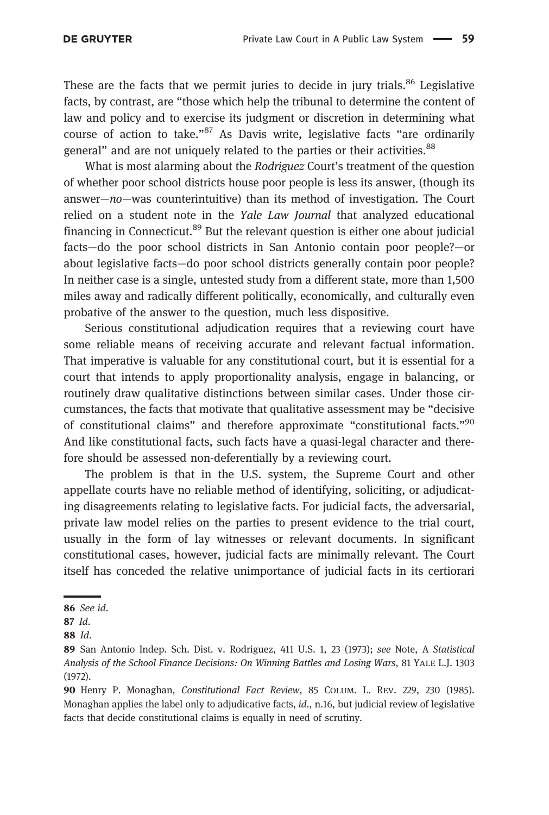These are the facts that we permit juries to decide in jury trials.<sup>86</sup> Legislative facts, by contrast, are "those which help the tribunal to determine the content of law and policy and to exercise its judgment or discretion in determining what course of action to take."<sup>87</sup> As Davis write, legislative facts "are ordinarily general" and are not uniquely related to the parties or their activities.<sup>88</sup>

What is most alarming about the Rodriguez Court's treatment of the question of whether poor school districts house poor people is less its answer, (though its answer—no—was counterintuitive) than its method of investigation. The Court relied on a student note in the Yale Law Journal that analyzed educational financing in Connecticut.<sup>89</sup> But the relevant question is either one about judicial facts—do the poor school districts in San Antonio contain poor people?—or about legislative facts—do poor school districts generally contain poor people? In neither case is a single, untested study from a different state, more than 1,500 miles away and radically different politically, economically, and culturally even probative of the answer to the question, much less dispositive.

Serious constitutional adjudication requires that a reviewing court have some reliable means of receiving accurate and relevant factual information. That imperative is valuable for any constitutional court, but it is essential for a court that intends to apply proportionality analysis, engage in balancing, or routinely draw qualitative distinctions between similar cases. Under those circumstances, the facts that motivate that qualitative assessment may be "decisive of constitutional claims" and therefore approximate "constitutional facts."<sup>90</sup> And like constitutional facts, such facts have a quasi-legal character and therefore should be assessed non-deferentially by a reviewing court.

The problem is that in the U.S. system, the Supreme Court and other appellate courts have no reliable method of identifying, soliciting, or adjudicating disagreements relating to legislative facts. For judicial facts, the adversarial, private law model relies on the parties to present evidence to the trial court, usually in the form of lay witnesses or relevant documents. In significant constitutional cases, however, judicial facts are minimally relevant. The Court itself has conceded the relative unimportance of judicial facts in its certiorari

<sup>86</sup> See id.

<sup>87</sup> Id.

<sup>88</sup> Id.

<sup>89</sup> San Antonio Indep. Sch. Dist. v. Rodriguez, 411 U.S. 1, 23 (1973); see Note, A Statistical Analysis of the School Finance Decisions: On Winning Battles and Losing Wars, 81 YALE L.J. 1303 (1972).

<sup>90</sup> Henry P. Monaghan, Constitutional Fact Review, 85 COLUM. L. REV. 229, 230 (1985). Monaghan applies the label only to adjudicative facts, id., n.16, but judicial review of legislative facts that decide constitutional claims is equally in need of scrutiny.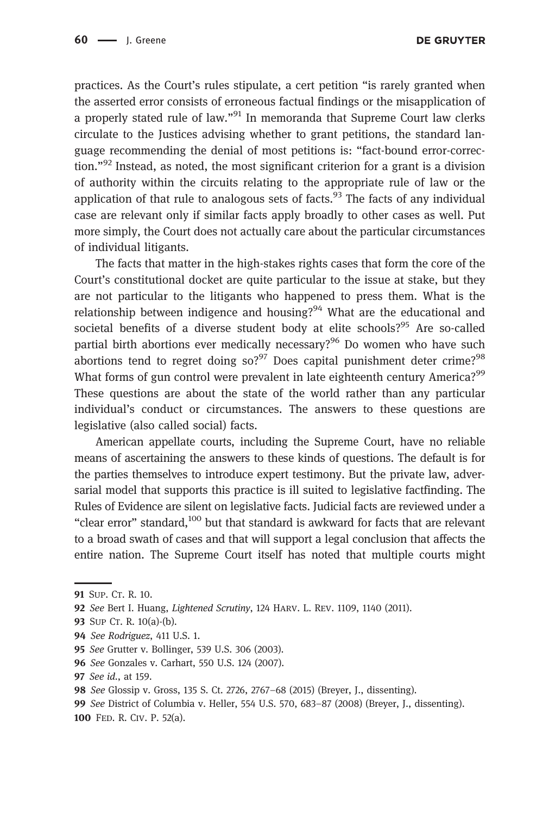practices. As the Court's rules stipulate, a cert petition "is rarely granted when the asserted error consists of erroneous factual findings or the misapplication of a properly stated rule of law."<sup>91</sup> In memoranda that Supreme Court law clerks circulate to the Justices advising whether to grant petitions, the standard language recommending the denial of most petitions is: "fact-bound error-correction."<sup>92</sup> Instead, as noted, the most significant criterion for a grant is a division of authority within the circuits relating to the appropriate rule of law or the application of that rule to analogous sets of facts.<sup>93</sup> The facts of any individual case are relevant only if similar facts apply broadly to other cases as well. Put more simply, the Court does not actually care about the particular circumstances of individual litigants.

The facts that matter in the high-stakes rights cases that form the core of the Court's constitutional docket are quite particular to the issue at stake, but they are not particular to the litigants who happened to press them. What is the relationship between indigence and housing?<sup>94</sup> What are the educational and societal benefits of a diverse student body at elite schools?<sup>95</sup> Are so-called partial birth abortions ever medically necessary?<sup>96</sup> Do women who have such abortions tend to regret doing  $\omega^{297}$  Does capital punishment deter crime?<sup>98</sup> What forms of gun control were prevalent in late eighteenth century America?<sup>99</sup> These questions are about the state of the world rather than any particular individual's conduct or circumstances. The answers to these questions are legislative (also called social) facts.

American appellate courts, including the Supreme Court, have no reliable means of ascertaining the answers to these kinds of questions. The default is for the parties themselves to introduce expert testimony. But the private law, adversarial model that supports this practice is ill suited to legislative factfinding. The Rules of Evidence are silent on legislative facts. Judicial facts are reviewed under a "clear error" standard, $100$  but that standard is awkward for facts that are relevant to a broad swath of cases and that will support a legal conclusion that affects the entire nation. The Supreme Court itself has noted that multiple courts might

94 See Rodriguez, 411 U.S. 1.

<sup>91</sup> SUP. CT. R. 10.

<sup>92</sup> See Bert I. Huang, Lightened Scrutiny, 124 HARV. L. REV. 1109, 1140 (2011).

<sup>93</sup> SUP CT. R. 10(a)-(b).

<sup>95</sup> See Grutter v. Bollinger, 539 U.S. 306 (2003).

<sup>96</sup> See Gonzales v. Carhart, 550 U.S. 124 (2007).

<sup>97</sup> See id., at 159.

<sup>98</sup> See Glossip v. Gross, 135 S. Ct. 2726, 2767–68 (2015) (Breyer, J., dissenting).

<sup>99</sup> See District of Columbia v. Heller, 554 U.S. 570, 683–87 (2008) (Breyer, J., dissenting).

<sup>100</sup> FED. R. CIV. P. 52(a).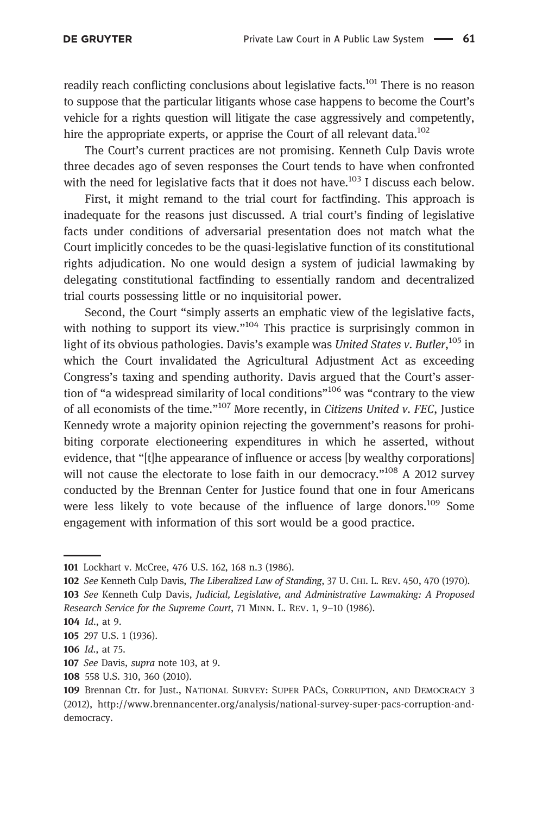readily reach conflicting conclusions about legislative facts.<sup>101</sup> There is no reason to suppose that the particular litigants whose case happens to become the Court's vehicle for a rights question will litigate the case aggressively and competently, hire the appropriate experts, or apprise the Court of all relevant data.<sup>102</sup>

The Court's current practices are not promising. Kenneth Culp Davis wrote three decades ago of seven responses the Court tends to have when confronted with the need for legislative facts that it does not have.<sup>103</sup> I discuss each below.

First, it might remand to the trial court for factfinding. This approach is inadequate for the reasons just discussed. A trial court's finding of legislative facts under conditions of adversarial presentation does not match what the Court implicitly concedes to be the quasi-legislative function of its constitutional rights adjudication. No one would design a system of judicial lawmaking by delegating constitutional factfinding to essentially random and decentralized trial courts possessing little or no inquisitorial power.

Second, the Court "simply asserts an emphatic view of the legislative facts, with nothing to support its view."<sup>104</sup> This practice is surprisingly common in light of its obvious pathologies. Davis's example was United States v. Butler, <sup>105</sup> in which the Court invalidated the Agricultural Adjustment Act as exceeding Congress's taxing and spending authority. Davis argued that the Court's assertion of "a widespread similarity of local conditions"<sup>106</sup> was "contrary to the view of all economists of the time." $107$  More recently, in Citizens United v. FEC, Justice Kennedy wrote a majority opinion rejecting the government's reasons for prohibiting corporate electioneering expenditures in which he asserted, without evidence, that "[t]he appearance of influence or access [by wealthy corporations] will not cause the electorate to lose faith in our democracy."<sup>108</sup> A 2012 survey conducted by the Brennan Center for Justice found that one in four Americans were less likely to vote because of the influence of large donors.<sup>109</sup> Some engagement with information of this sort would be a good practice.

<sup>101</sup> Lockhart v. McCree, 476 U.S. 162, 168 n.3 (1986).

<sup>102</sup> See Kenneth Culp Davis, The Liberalized Law of Standing, 37 U. CHI. L. REV. 450, 470 (1970). 103 See Kenneth Culp Davis, Judicial, Legislative, and Administrative Lawmaking: A Proposed Research Service for the Supreme Court, 71 MINN. L. REV. 1, 9–10 (1986).

<sup>104</sup> *Id.*, at 9.

<sup>105</sup> 297 U.S. 1 (1936).

<sup>106</sup> Id., at 75.

<sup>107</sup> See Davis, supra note 103, at 9.

<sup>108</sup> 558 U.S. 310, 360 (2010).

<sup>109</sup> Brennan Ctr. for Just., NATIONAL SURVEY: SUPER PACS, CORRUPTION, AND DEMOCRACY 3 (2012), http://www.brennancenter.org/analysis/national-survey-super-pacs-corruption-anddemocracy.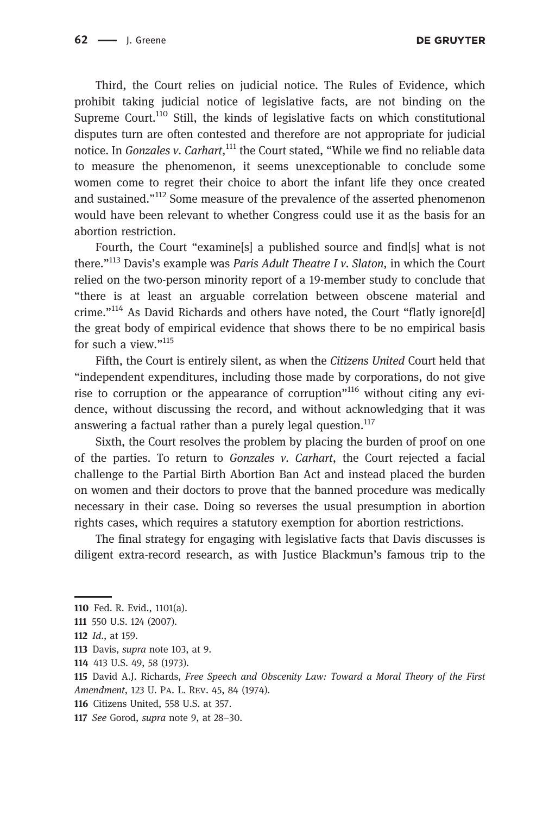Third, the Court relies on judicial notice. The Rules of Evidence, which prohibit taking judicial notice of legislative facts, are not binding on the Supreme Court.<sup>110</sup> Still, the kinds of legislative facts on which constitutional disputes turn are often contested and therefore are not appropriate for judicial notice. In *Gonzales v. Carhart*,<sup>111</sup> the Court stated, "While we find no reliable data to measure the phenomenon, it seems unexceptionable to conclude some women come to regret their choice to abort the infant life they once created and sustained."<sup>112</sup> Some measure of the prevalence of the asserted phenomenon would have been relevant to whether Congress could use it as the basis for an abortion restriction.

Fourth, the Court "examine[s] a published source and find[s] what is not there."<sup>113</sup> Davis's example was *Paris Adult Theatre I v. Slaton*, in which the Court relied on the two-person minority report of a 19-member study to conclude that "there is at least an arguable correlation between obscene material and crime."<sup>114</sup> As David Richards and others have noted, the Court "flatly ignore[d] the great body of empirical evidence that shows there to be no empirical basis for such a view."<sup>115</sup>

Fifth, the Court is entirely silent, as when the Citizens United Court held that "independent expenditures, including those made by corporations, do not give rise to corruption or the appearance of corruption<sup> $116$ </sup> without citing any evidence, without discussing the record, and without acknowledging that it was answering a factual rather than a purely legal question. $117$ 

Sixth, the Court resolves the problem by placing the burden of proof on one of the parties. To return to *Gonzales v. Carhart*, the Court rejected a facial challenge to the Partial Birth Abortion Ban Act and instead placed the burden on women and their doctors to prove that the banned procedure was medically necessary in their case. Doing so reverses the usual presumption in abortion rights cases, which requires a statutory exemption for abortion restrictions.

The final strategy for engaging with legislative facts that Davis discusses is diligent extra-record research, as with Justice Blackmun's famous trip to the

<sup>110</sup> Fed. R. Evid., 1101(a).

<sup>111</sup> 550 U.S. 124 (2007).

<sup>112</sup> Id., at 159.

<sup>113</sup> Davis, supra note 103, at 9.

<sup>114</sup> 413 U.S. 49, 58 (1973).

<sup>115</sup> David A.J. Richards, Free Speech and Obscenity Law: Toward a Moral Theory of the First Amendment, 123 U. PA. L. REV. 45, 84 (1974).

<sup>116</sup> Citizens United, 558 U.S. at 357.

<sup>117</sup> See Gorod, supra note 9, at 28–30.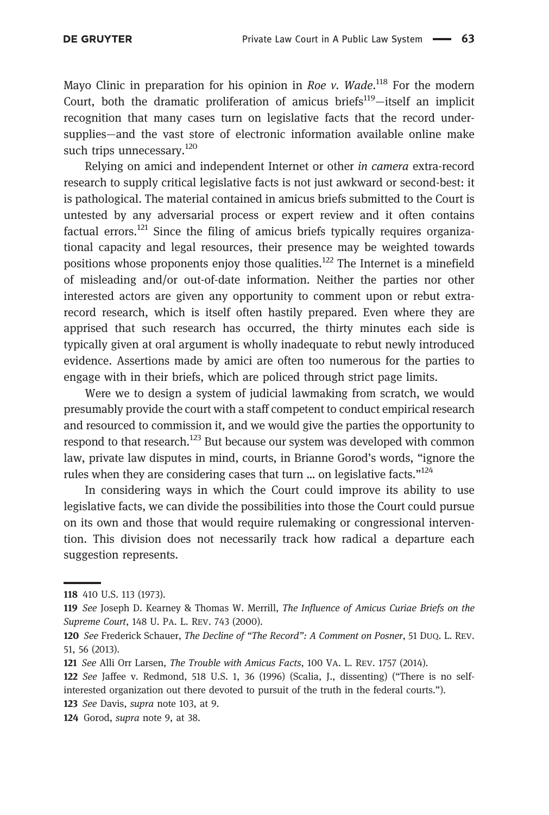#### **DE GRUYTER**

Mayo Clinic in preparation for his opinion in Roe v. Wade.<sup>118</sup> For the modern Court, both the dramatic proliferation of amicus briefs<sup>119</sup> $-$ itself an implicit recognition that many cases turn on legislative facts that the record undersupplies—and the vast store of electronic information available online make such trips unnecessary.<sup>120</sup>

Relying on amici and independent Internet or other in camera extra-record research to supply critical legislative facts is not just awkward or second-best: it is pathological. The material contained in amicus briefs submitted to the Court is untested by any adversarial process or expert review and it often contains factual errors.<sup>121</sup> Since the filing of amicus briefs typically requires organizational capacity and legal resources, their presence may be weighted towards positions whose proponents enjoy those qualities.<sup>122</sup> The Internet is a minefield of misleading and/or out-of-date information. Neither the parties nor other interested actors are given any opportunity to comment upon or rebut extrarecord research, which is itself often hastily prepared. Even where they are apprised that such research has occurred, the thirty minutes each side is typically given at oral argument is wholly inadequate to rebut newly introduced evidence. Assertions made by amici are often too numerous for the parties to engage with in their briefs, which are policed through strict page limits.

Were we to design a system of judicial lawmaking from scratch, we would presumably provide the court with a staff competent to conduct empirical research and resourced to commission it, and we would give the parties the opportunity to respond to that research.<sup>123</sup> But because our system was developed with common law, private law disputes in mind, courts, in Brianne Gorod's words, "ignore the rules when they are considering cases that turn  $\ldots$  on legislative facts." $^{124}$ 

In considering ways in which the Court could improve its ability to use legislative facts, we can divide the possibilities into those the Court could pursue on its own and those that would require rulemaking or congressional intervention. This division does not necessarily track how radical a departure each suggestion represents.

<sup>118</sup> 410 U.S. 113 (1973).

<sup>119</sup> See Joseph D. Kearney & Thomas W. Merrill, The Influence of Amicus Curiae Briefs on the Supreme Court, 148 U. PA. L. REV. 743 (2000).

<sup>120</sup> See Frederick Schauer, The Decline of "The Record": A Comment on Posner, 51 DUQ. L. REV. 51, 56 (2013).

<sup>121</sup> See Alli Orr Larsen, The Trouble with Amicus Facts, 100 VA. L. REV. 1757 (2014).

<sup>122</sup> See Jaffee v. Redmond, 518 U.S. 1, 36 (1996) (Scalia, J., dissenting) ("There is no selfinterested organization out there devoted to pursuit of the truth in the federal courts."). 123 See Davis, supra note 103, at 9.

<sup>124</sup> Gorod, supra note 9, at 38.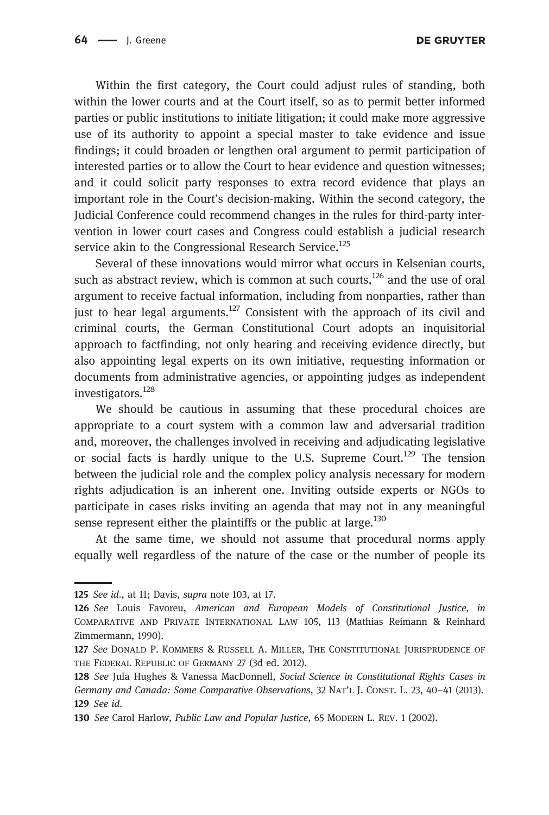Within the first category, the Court could adjust rules of standing, both within the lower courts and at the Court itself, so as to permit better informed parties or public institutions to initiate litigation; it could make more aggressive use of its authority to appoint a special master to take evidence and issue findings; it could broaden or lengthen oral argument to permit participation of interested parties or to allow the Court to hear evidence and question witnesses; and it could solicit party responses to extra record evidence that plays an important role in the Court's decision-making. Within the second category, the Judicial Conference could recommend changes in the rules for third-party intervention in lower court cases and Congress could establish a judicial research service akin to the Congressional Research Service.<sup>125</sup>

Several of these innovations would mirror what occurs in Kelsenian courts, such as abstract review, which is common at such courts, $126$  and the use of oral argument to receive factual information, including from nonparties, rather than just to hear legal arguments.<sup>127</sup> Consistent with the approach of its civil and criminal courts, the German Constitutional Court adopts an inquisitorial approach to factfinding, not only hearing and receiving evidence directly, but also appointing legal experts on its own initiative, requesting information or documents from administrative agencies, or appointing judges as independent investigators.<sup>128</sup>

We should be cautious in assuming that these procedural choices are appropriate to a court system with a common law and adversarial tradition and, moreover, the challenges involved in receiving and adjudicating legislative or social facts is hardly unique to the U.S. Supreme Court.<sup>129</sup> The tension between the judicial role and the complex policy analysis necessary for modern rights adjudication is an inherent one. Inviting outside experts or NGOs to participate in cases risks inviting an agenda that may not in any meaningful sense represent either the plaintiffs or the public at large. $130$ 

At the same time, we should not assume that procedural norms apply equally well regardless of the nature of the case or the number of people its

<sup>125</sup> See id., at 11; Davis, supra note 103, at 17.

<sup>126</sup> See Louis Favoreu, American and European Models of Constitutional Justice, in COMPARATIVE AND PRIVATE INTERNATIONAL LAW 105, 113 (Mathias Reimann & Reinhard Zimmermann, 1990).

<sup>127</sup> See DONALD P. KOMMERS & RUSSELL A. MILLER, THE CONSTITUTIONAL JURISPRUDENCE OF THE FEDERAL REPUBLIC OF GERMANY 27 (3d ed. 2012).

<sup>128</sup> See Jula Hughes & Vanessa MacDonnell, Social Science in Constitutional Rights Cases in Germany and Canada: Some Comparative Observations, 32 NAT'L J. CONST. L. 23, 40–41 (2013). 129 See id.

<sup>130</sup> See Carol Harlow, Public Law and Popular Justice, 65 MODERN L. REV. 1 (2002).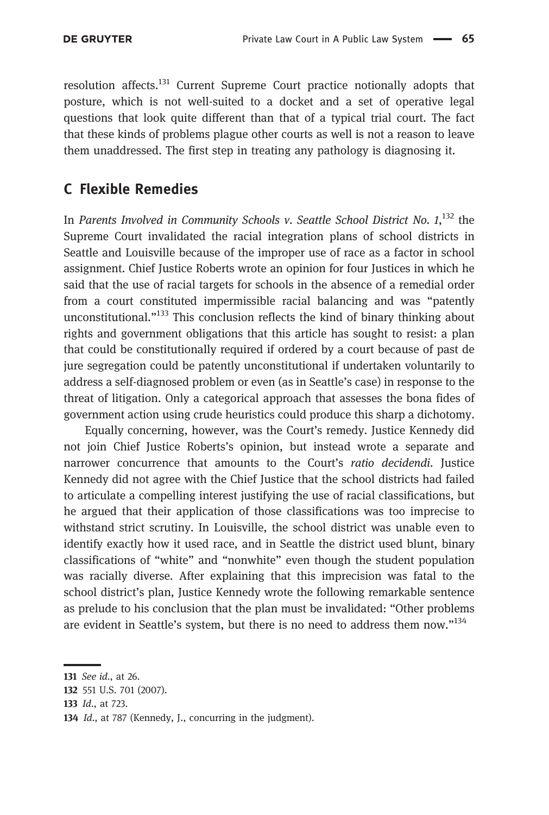resolution affects.<sup>131</sup> Current Supreme Court practice notionally adopts that posture, which is not well-suited to a docket and a set of operative legal questions that look quite different than that of a typical trial court. The fact that these kinds of problems plague other courts as well is not a reason to leave them unaddressed. The first step in treating any pathology is diagnosing it.

### C Flexible Remedies

In Parents Involved in Community Schools v. Seattle School District No. 1,<sup>132</sup> the Supreme Court invalidated the racial integration plans of school districts in Seattle and Louisville because of the improper use of race as a factor in school assignment. Chief Justice Roberts wrote an opinion for four Justices in which he said that the use of racial targets for schools in the absence of a remedial order from a court constituted impermissible racial balancing and was "patently unconstitutional."<sup>133</sup> This conclusion reflects the kind of binary thinking about rights and government obligations that this article has sought to resist: a plan that could be constitutionally required if ordered by a court because of past de jure segregation could be patently unconstitutional if undertaken voluntarily to address a self-diagnosed problem or even (as in Seattle's case) in response to the threat of litigation. Only a categorical approach that assesses the bona fides of government action using crude heuristics could produce this sharp a dichotomy.

Equally concerning, however, was the Court's remedy. Justice Kennedy did not join Chief Justice Roberts's opinion, but instead wrote a separate and narrower concurrence that amounts to the Court's ratio decidendi. Justice Kennedy did not agree with the Chief Justice that the school districts had failed to articulate a compelling interest justifying the use of racial classifications, but he argued that their application of those classifications was too imprecise to withstand strict scrutiny. In Louisville, the school district was unable even to identify exactly how it used race, and in Seattle the district used blunt, binary classifications of "white" and "nonwhite" even though the student population was racially diverse. After explaining that this imprecision was fatal to the school district's plan, Justice Kennedy wrote the following remarkable sentence as prelude to his conclusion that the plan must be invalidated: "Other problems are evident in Seattle's system, but there is no need to address them now."<sup>134</sup>

<sup>131</sup> See id., at 26.

<sup>132</sup> 551 U.S. 701 (2007).

<sup>133</sup> Id., at 723.

<sup>134</sup> Id., at 787 (Kennedy, J., concurring in the judgment).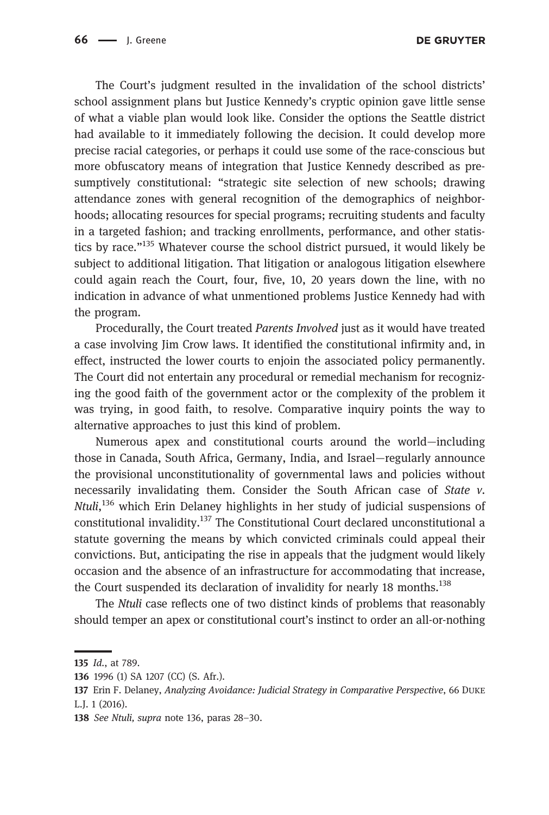The Court's judgment resulted in the invalidation of the school districts' school assignment plans but Justice Kennedy's cryptic opinion gave little sense of what a viable plan would look like. Consider the options the Seattle district had available to it immediately following the decision. It could develop more precise racial categories, or perhaps it could use some of the race-conscious but more obfuscatory means of integration that Justice Kennedy described as presumptively constitutional: "strategic site selection of new schools; drawing attendance zones with general recognition of the demographics of neighborhoods; allocating resources for special programs; recruiting students and faculty in a targeted fashion; and tracking enrollments, performance, and other statistics by race."<sup>135</sup> Whatever course the school district pursued, it would likely be subject to additional litigation. That litigation or analogous litigation elsewhere could again reach the Court, four, five, 10, 20 years down the line, with no indication in advance of what unmentioned problems Justice Kennedy had with the program.

Procedurally, the Court treated Parents Involved just as it would have treated a case involving Jim Crow laws. It identified the constitutional infirmity and, in effect, instructed the lower courts to enjoin the associated policy permanently. The Court did not entertain any procedural or remedial mechanism for recognizing the good faith of the government actor or the complexity of the problem it was trying, in good faith, to resolve. Comparative inquiry points the way to alternative approaches to just this kind of problem.

Numerous apex and constitutional courts around the world—including those in Canada, South Africa, Germany, India, and Israel—regularly announce the provisional unconstitutionality of governmental laws and policies without necessarily invalidating them. Consider the South African case of *State v*. Ntuli,<sup>136</sup> which Erin Delaney highlights in her study of judicial suspensions of constitutional invalidity.<sup>137</sup> The Constitutional Court declared unconstitutional a statute governing the means by which convicted criminals could appeal their convictions. But, anticipating the rise in appeals that the judgment would likely occasion and the absence of an infrastructure for accommodating that increase, the Court suspended its declaration of invalidity for nearly 18 months.<sup>138</sup>

The Ntuli case reflects one of two distinct kinds of problems that reasonably should temper an apex or constitutional court's instinct to order an all-or-nothing

<sup>135</sup> Id., at 789.

<sup>136</sup> 1996 (1) SA 1207 (CC) (S. Afr.).

<sup>137</sup> Erin F. Delaney, Analyzing Avoidance: Judicial Strategy in Comparative Perspective, 66 DUKE L.J. 1 (2016).

<sup>138</sup> See Ntuli, supra note 136, paras 28–30.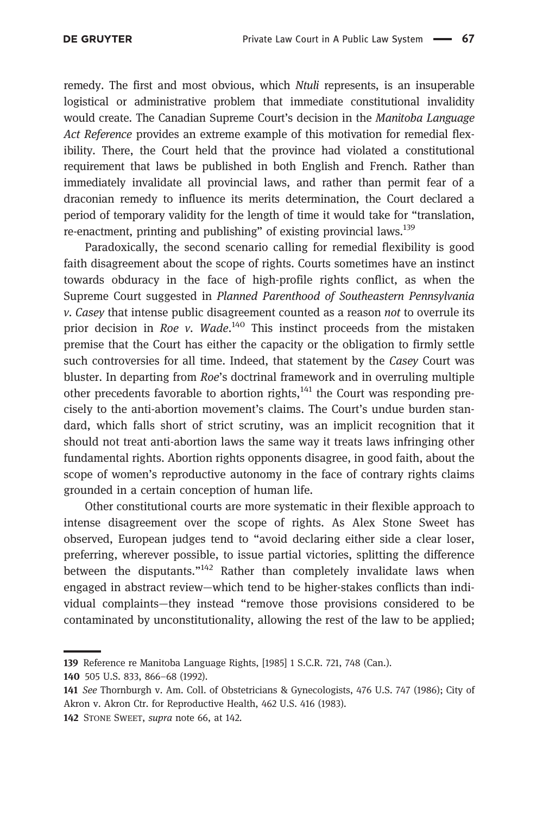remedy. The first and most obvious, which Ntuli represents, is an insuperable logistical or administrative problem that immediate constitutional invalidity would create. The Canadian Supreme Court's decision in the *Manitoba Language* Act Reference provides an extreme example of this motivation for remedial flexibility. There, the Court held that the province had violated a constitutional requirement that laws be published in both English and French. Rather than immediately invalidate all provincial laws, and rather than permit fear of a draconian remedy to influence its merits determination, the Court declared a period of temporary validity for the length of time it would take for "translation, re-enactment, printing and publishing" of existing provincial laws.<sup>139</sup>

Paradoxically, the second scenario calling for remedial flexibility is good faith disagreement about the scope of rights. Courts sometimes have an instinct towards obduracy in the face of high-profile rights conflict, as when the Supreme Court suggested in Planned Parenthood of Southeastern Pennsylvania  $v.$  Casey that intense public disagreement counted as a reason not to overrule its prior decision in Roe v. Wade.<sup>140</sup> This instinct proceeds from the mistaken premise that the Court has either the capacity or the obligation to firmly settle such controversies for all time. Indeed, that statement by the Casey Court was bluster. In departing from Roe's doctrinal framework and in overruling multiple other precedents favorable to abortion rights, $141$  the Court was responding precisely to the anti-abortion movement's claims. The Court's undue burden standard, which falls short of strict scrutiny, was an implicit recognition that it should not treat anti-abortion laws the same way it treats laws infringing other fundamental rights. Abortion rights opponents disagree, in good faith, about the scope of women's reproductive autonomy in the face of contrary rights claims grounded in a certain conception of human life.

Other constitutional courts are more systematic in their flexible approach to intense disagreement over the scope of rights. As Alex Stone Sweet has observed, European judges tend to "avoid declaring either side a clear loser, preferring, wherever possible, to issue partial victories, splitting the difference between the disputants." $142$  Rather than completely invalidate laws when engaged in abstract review—which tend to be higher-stakes conflicts than individual complaints—they instead "remove those provisions considered to be contaminated by unconstitutionality, allowing the rest of the law to be applied;

142 STONE SWEET, supra note 66, at 142.

<sup>139</sup> Reference re Manitoba Language Rights, [1985] 1 S.C.R. 721, 748 (Can.).

<sup>140</sup> 505 U.S. 833, 866–68 (1992).

<sup>141</sup> See Thornburgh v. Am. Coll. of Obstetricians & Gynecologists, 476 U.S. 747 (1986); City of Akron v. Akron Ctr. for Reproductive Health, 462 U.S. 416 (1983).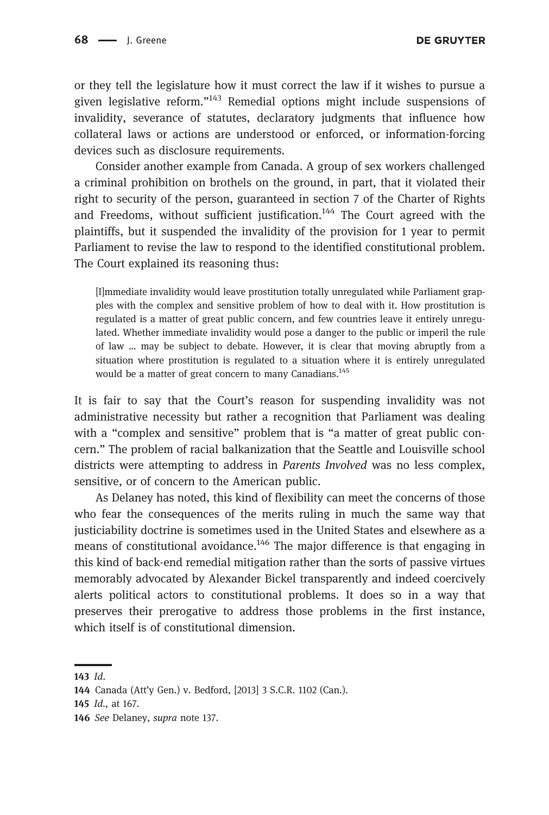**DE GRUYTER** 

or they tell the legislature how it must correct the law if it wishes to pursue a given legislative reform."<sup>143</sup> Remedial options might include suspensions of invalidity, severance of statutes, declaratory judgments that influence how collateral laws or actions are understood or enforced, or information-forcing devices such as disclosure requirements.

Consider another example from Canada. A group of sex workers challenged a criminal prohibition on brothels on the ground, in part, that it violated their right to security of the person, guaranteed in section 7 of the Charter of Rights and Freedoms, without sufficient justification.<sup>144</sup> The Court agreed with the plaintiffs, but it suspended the invalidity of the provision for 1 year to permit Parliament to revise the law to respond to the identified constitutional problem. The Court explained its reasoning thus:

[I]mmediate invalidity would leave prostitution totally unregulated while Parliament grapples with the complex and sensitive problem of how to deal with it. How prostitution is regulated is a matter of great public concern, and few countries leave it entirely unregulated. Whether immediate invalidity would pose a danger to the public or imperil the rule of law … may be subject to debate. However, it is clear that moving abruptly from a situation where prostitution is regulated to a situation where it is entirely unregulated would be a matter of great concern to many Canadians.<sup>145</sup>

It is fair to say that the Court's reason for suspending invalidity was not administrative necessity but rather a recognition that Parliament was dealing with a "complex and sensitive" problem that is "a matter of great public concern." The problem of racial balkanization that the Seattle and Louisville school districts were attempting to address in Parents Involved was no less complex, sensitive, or of concern to the American public.

As Delaney has noted, this kind of flexibility can meet the concerns of those who fear the consequences of the merits ruling in much the same way that justiciability doctrine is sometimes used in the United States and elsewhere as a means of constitutional avoidance.<sup>146</sup> The major difference is that engaging in this kind of back-end remedial mitigation rather than the sorts of passive virtues memorably advocated by Alexander Bickel transparently and indeed coercively alerts political actors to constitutional problems. It does so in a way that preserves their prerogative to address those problems in the first instance, which itself is of constitutional dimension.

<sup>143</sup> Id.

<sup>144</sup> Canada (Att'y Gen.) v. Bedford, [2013] 3 S.C.R. 1102 (Can.).

<sup>145</sup> Id., at 167.

<sup>146</sup> See Delaney, supra note 137.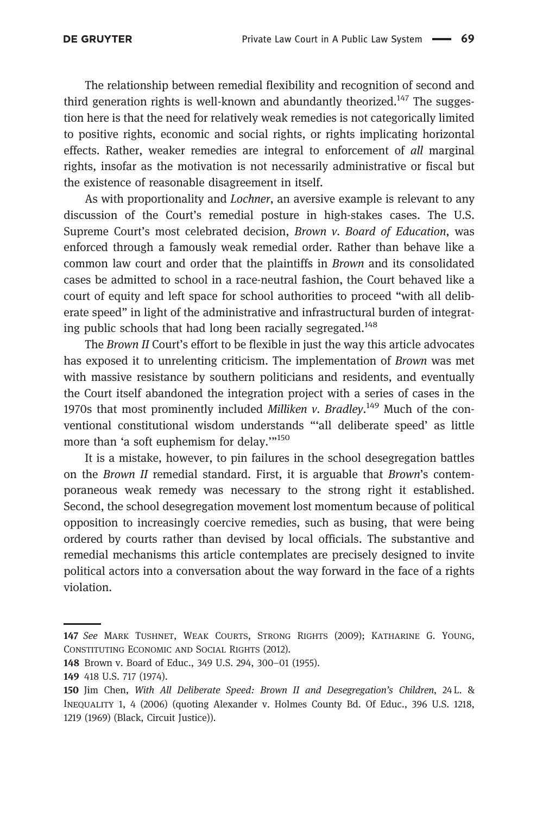The relationship between remedial flexibility and recognition of second and third generation rights is well-known and abundantly theorized.<sup>147</sup> The suggestion here is that the need for relatively weak remedies is not categorically limited to positive rights, economic and social rights, or rights implicating horizontal effects. Rather, weaker remedies are integral to enforcement of all marginal rights, insofar as the motivation is not necessarily administrative or fiscal but the existence of reasonable disagreement in itself.

As with proportionality and Lochner, an aversive example is relevant to any discussion of the Court's remedial posture in high-stakes cases. The U.S. Supreme Court's most celebrated decision, Brown v. Board of Education, was enforced through a famously weak remedial order. Rather than behave like a common law court and order that the plaintiffs in Brown and its consolidated cases be admitted to school in a race-neutral fashion, the Court behaved like a court of equity and left space for school authorities to proceed "with all deliberate speed" in light of the administrative and infrastructural burden of integrating public schools that had long been racially segregated.<sup>148</sup>

The Brown II Court's effort to be flexible in just the way this article advocates has exposed it to unrelenting criticism. The implementation of Brown was met with massive resistance by southern politicians and residents, and eventually the Court itself abandoned the integration project with a series of cases in the 1970s that most prominently included Milliken v. Bradley.<sup>149</sup> Much of the conventional constitutional wisdom understands "'all deliberate speed' as little more than 'a soft euphemism for delay."<sup>150</sup>

It is a mistake, however, to pin failures in the school desegregation battles on the Brown II remedial standard. First, it is arguable that Brown's contemporaneous weak remedy was necessary to the strong right it established. Second, the school desegregation movement lost momentum because of political opposition to increasingly coercive remedies, such as busing, that were being ordered by courts rather than devised by local officials. The substantive and remedial mechanisms this article contemplates are precisely designed to invite political actors into a conversation about the way forward in the face of a rights violation.

<sup>147</sup> See MARK TUSHNET, WEAK COURTS, STRONG RIGHTS (2009); KATHARINE G. YOUNG, CONSTITUTING ECONOMIC AND SOCIAL RIGHTS (2012).

<sup>148</sup> Brown v. Board of Educ., 349 U.S. 294, 300–01 (1955).

<sup>149</sup> 418 U.S. 717 (1974).

<sup>150</sup> Jim Chen, With All Deliberate Speed: Brown II and Desegregation's Children, 24 L. & INEQUALITY 1, 4 (2006) (quoting Alexander v. Holmes County Bd. Of Educ., 396 U.S. 1218, 1219 (1969) (Black, Circuit Justice)).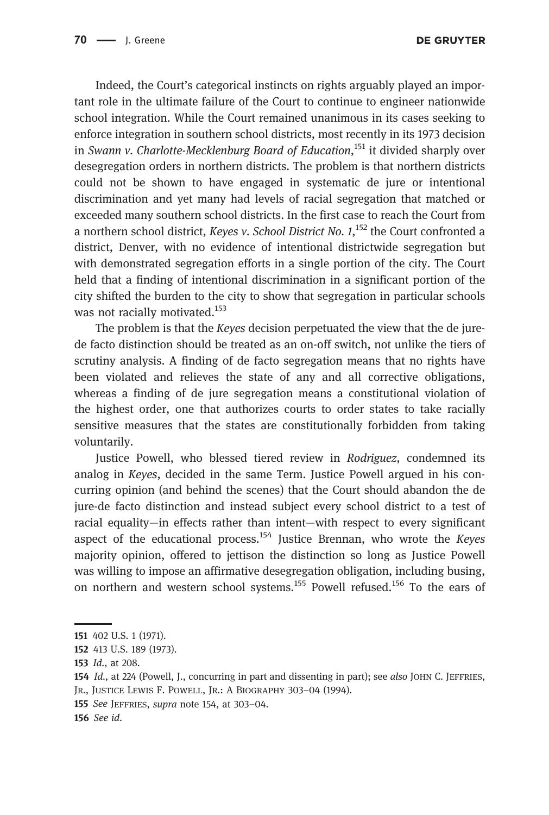Indeed, the Court's categorical instincts on rights arguably played an important role in the ultimate failure of the Court to continue to engineer nationwide school integration. While the Court remained unanimous in its cases seeking to enforce integration in southern school districts, most recently in its 1973 decision in Swann v. Charlotte-Mecklenburg Board of Education,<sup>151</sup> it divided sharply over desegregation orders in northern districts. The problem is that northern districts could not be shown to have engaged in systematic de jure or intentional discrimination and yet many had levels of racial segregation that matched or exceeded many southern school districts. In the first case to reach the Court from a northern school district, Keyes v. School District No. 1,<sup>152</sup> the Court confronted a district, Denver, with no evidence of intentional districtwide segregation but with demonstrated segregation efforts in a single portion of the city. The Court held that a finding of intentional discrimination in a significant portion of the city shifted the burden to the city to show that segregation in particular schools was not racially motivated.<sup>153</sup>

The problem is that the Keyes decision perpetuated the view that the de jurede facto distinction should be treated as an on-off switch, not unlike the tiers of scrutiny analysis. A finding of de facto segregation means that no rights have been violated and relieves the state of any and all corrective obligations, whereas a finding of de jure segregation means a constitutional violation of the highest order, one that authorizes courts to order states to take racially sensitive measures that the states are constitutionally forbidden from taking voluntarily.

Justice Powell, who blessed tiered review in Rodriguez, condemned its analog in Keyes, decided in the same Term. Justice Powell argued in his concurring opinion (and behind the scenes) that the Court should abandon the de jure-de facto distinction and instead subject every school district to a test of racial equality—in effects rather than intent—with respect to every significant aspect of the educational process.<sup>154</sup> Justice Brennan, who wrote the Keyes majority opinion, offered to jettison the distinction so long as Justice Powell was willing to impose an affirmative desegregation obligation, including busing, on northern and western school systems.<sup>155</sup> Powell refused.<sup>156</sup> To the ears of

155 See JEFFRIES, supra note 154, at 303–04.

<sup>151</sup> 402 U.S. 1 (1971).

<sup>152</sup> 413 U.S. 189 (1973).

<sup>153</sup> Id., at 208.

<sup>154</sup> Id., at 224 (Powell, J., concurring in part and dissenting in part); see also JOHN C. JEFFRIES, JR., JUSTICE LEWIS F. POWELL, JR.: A BIOGRAPHY 303–04 (1994).

<sup>156</sup> See id.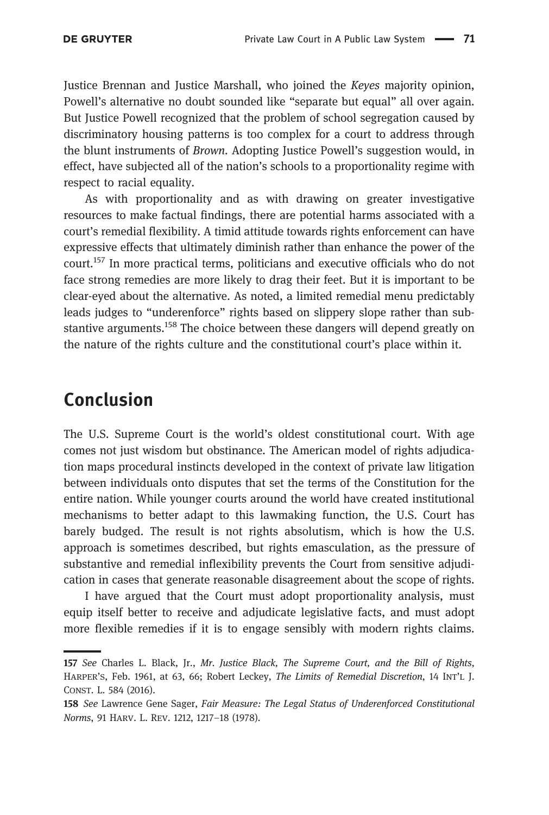Justice Brennan and Justice Marshall, who joined the Keyes majority opinion, Powell's alternative no doubt sounded like "separate but equal" all over again. But Justice Powell recognized that the problem of school segregation caused by discriminatory housing patterns is too complex for a court to address through the blunt instruments of Brown. Adopting Justice Powell's suggestion would, in effect, have subjected all of the nation's schools to a proportionality regime with respect to racial equality.

As with proportionality and as with drawing on greater investigative resources to make factual findings, there are potential harms associated with a court's remedial flexibility. A timid attitude towards rights enforcement can have expressive effects that ultimately diminish rather than enhance the power of the court.<sup>157</sup> In more practical terms, politicians and executive officials who do not face strong remedies are more likely to drag their feet. But it is important to be clear-eyed about the alternative. As noted, a limited remedial menu predictably leads judges to "underenforce" rights based on slippery slope rather than substantive arguments.<sup>158</sup> The choice between these dangers will depend greatly on the nature of the rights culture and the constitutional court's place within it.

## Conclusion

The U.S. Supreme Court is the world's oldest constitutional court. With age comes not just wisdom but obstinance. The American model of rights adjudication maps procedural instincts developed in the context of private law litigation between individuals onto disputes that set the terms of the Constitution for the entire nation. While younger courts around the world have created institutional mechanisms to better adapt to this lawmaking function, the U.S. Court has barely budged. The result is not rights absolutism, which is how the U.S. approach is sometimes described, but rights emasculation, as the pressure of substantive and remedial inflexibility prevents the Court from sensitive adjudication in cases that generate reasonable disagreement about the scope of rights.

I have argued that the Court must adopt proportionality analysis, must equip itself better to receive and adjudicate legislative facts, and must adopt more flexible remedies if it is to engage sensibly with modern rights claims.

<sup>157</sup> See Charles L. Black, Jr., Mr. Justice Black, The Supreme Court, and the Bill of Rights, HARPER'S, Feb. 1961, at 63, 66; Robert Leckey, The Limits of Remedial Discretion, 14 INT'L J. CONST. L. 584 (2016).

<sup>158</sup> See Lawrence Gene Sager, Fair Measure: The Legal Status of Underenforced Constitutional Norms, 91 HARV. L. REV. 1212, 1217–18 (1978).